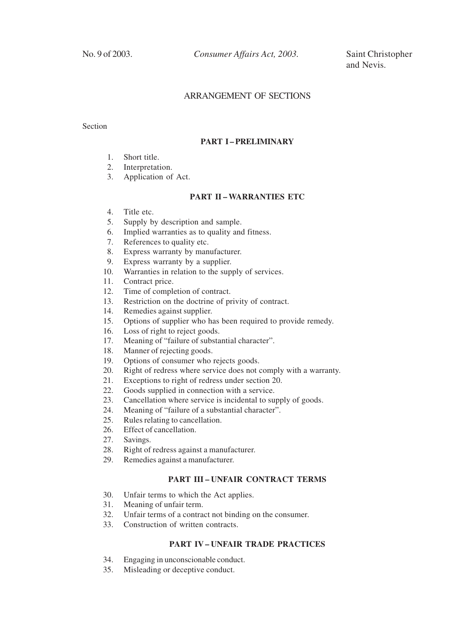and Nevis.

# ARRANGEMENT OF SECTIONS

# Section

# **PART I – PRELIMINARY**

- 1. Short title.
- 2. Interpretation.
- 3. Application of Act.

# **PART II – WARRANTIES ETC**

- 4. Title etc.
- 5. Supply by description and sample.
- 6. Implied warranties as to quality and fitness.
- 7. References to quality etc.
- 8. Express warranty by manufacturer.
- 9. Express warranty by a supplier.
- 10. Warranties in relation to the supply of services.
- 11. Contract price.
- 12. Time of completion of contract.
- 13. Restriction on the doctrine of privity of contract.
- 14. Remedies against supplier.
- 15. Options of supplier who has been required to provide remedy.
- 16. Loss of right to reject goods.
- 17. Meaning of "failure of substantial character".
- 18. Manner of rejecting goods.
- 19. Options of consumer who rejects goods.
- 20. Right of redress where service does not comply with a warranty.
- 21. Exceptions to right of redress under section 20.
- 22. Goods supplied in connection with a service.
- 23. Cancellation where service is incidental to supply of goods.
- 24. Meaning of "failure of a substantial character".
- 25. Rules relating to cancellation.
- 26. Effect of cancellation.
- 27. Savings.
- 28. Right of redress against a manufacturer.
- 29. Remedies against a manufacturer.

# **PART III – UNFAIR CONTRACT TERMS**

- 30. Unfair terms to which the Act applies.
- 31. Meaning of unfair term.
- 32. Unfair terms of a contract not binding on the consumer.
- 33. Construction of written contracts.

# **PART IV – UNFAIR TRADE PRACTICES**

- 34. Engaging in unconscionable conduct.
- 35. Misleading or deceptive conduct.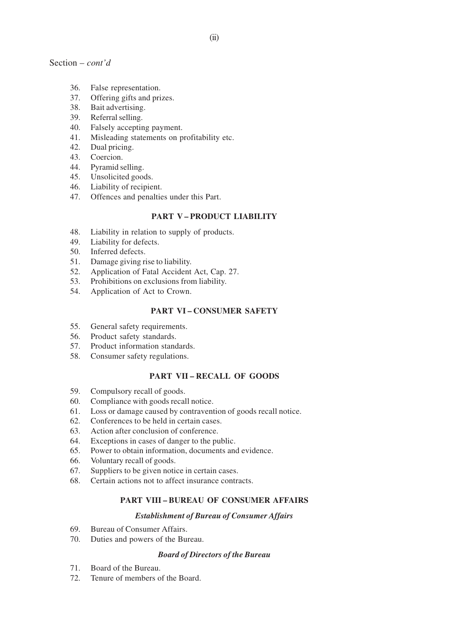# Section – *cont'd*

- 36. False representation.
- 37. Offering gifts and prizes.
- 38. Bait advertising.
- 39. Referral selling.
- 40. Falsely accepting payment.
- 41. Misleading statements on profitability etc.
- 42. Dual pricing.
- 43. Coercion.
- 44. Pyramid selling.
- 45. Unsolicited goods.
- 46. Liability of recipient.
- 47. Offences and penalties under this Part.

# **PART V – PRODUCT LIABILITY**

- 48. Liability in relation to supply of products.
- 49. Liability for defects.
- 50. Inferred defects.
- 51. Damage giving rise to liability.
- 52. Application of Fatal Accident Act, Cap. 27.
- 53. Prohibitions on exclusions from liability.
- 54. Application of Act to Crown.

# **PART VI – CONSUMER SAFETY**

- 55. General safety requirements.
- 56. Product safety standards.
- 57. Product information standards.
- 58. Consumer safety regulations.

# **PART VII – RECALL OF GOODS**

- 59. Compulsory recall of goods.
- 60. Compliance with goods recall notice.
- 61. Loss or damage caused by contravention of goods recall notice.
- 62. Conferences to be held in certain cases.
- 63. Action after conclusion of conference.
- 64. Exceptions in cases of danger to the public.
- 65. Power to obtain information, documents and evidence.
- 66. Voluntary recall of goods.
- 67. Suppliers to be given notice in certain cases.
- 68. Certain actions not to affect insurance contracts.

# **PART VIII – BUREAU OF CONSUMER AFFAIRS**

## *Establishment of Bureau of Consumer Affairs*

- 69. Bureau of Consumer Affairs.
- 70. Duties and powers of the Bureau.

# *Board of Directors of the Bureau*

- 71. Board of the Bureau.
- 72. Tenure of members of the Board.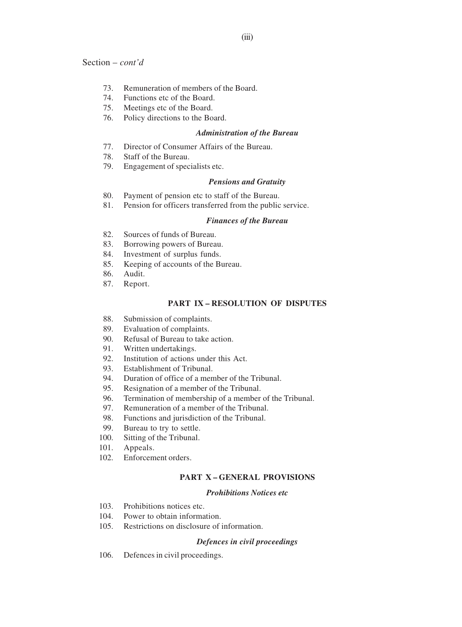Section – *cont'd*

- 73. Remuneration of members of the Board.
- 74. Functions etc of the Board.
- 75. Meetings etc of the Board.
- 76. Policy directions to the Board.

## *Administration of the Bureau*

- 77. Director of Consumer Affairs of the Bureau.
- 78. Staff of the Bureau.
- 79. Engagement of specialists etc.

## *Pensions and Gratuity*

- 80. Payment of pension etc to staff of the Bureau.
- 81. Pension for officers transferred from the public service.

# *Finances of the Bureau*

- 82. Sources of funds of Bureau.
- 83. Borrowing powers of Bureau.
- 84. Investment of surplus funds.
- 85. Keeping of accounts of the Bureau.
- 86. Audit.
- 87. Report.

# **PART IX – RESOLUTION OF DISPUTES**

- 88. Submission of complaints.
- 89. Evaluation of complaints.
- 90. Refusal of Bureau to take action.
- 91. Written undertakings.
- 92. Institution of actions under this Act.
- 93. Establishment of Tribunal.
- 94. Duration of office of a member of the Tribunal.
- 95. Resignation of a member of the Tribunal.
- 96. Termination of membership of a member of the Tribunal.
- 97. Remuneration of a member of the Tribunal.
- 98. Functions and jurisdiction of the Tribunal.
- 99. Bureau to try to settle.
- 100. Sitting of the Tribunal.
- 101. Appeals.
- 102. Enforcement orders.

# **PART X – GENERAL PROVISIONS**

#### *Prohibitions Notices etc*

- 103. Prohibitions notices etc.
- 104. Power to obtain information.
- 105. Restrictions on disclosure of information.

# *Defences in civil proceedings*

106. Defences in civil proceedings.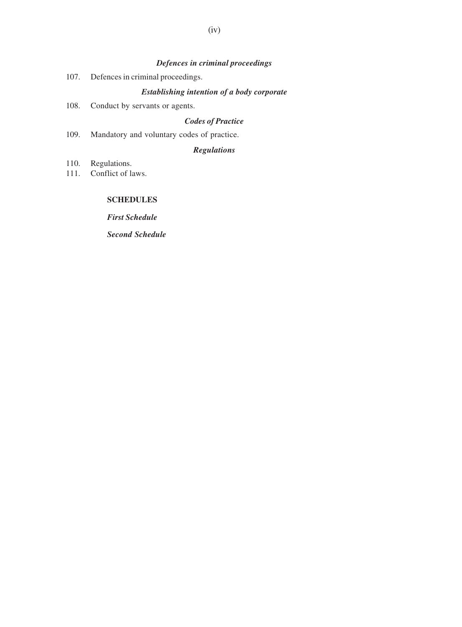# *Defences in criminal proceedings*

107. Defences in criminal proceedings.

# *Establishing intention of a body corporate*

108. Conduct by servants or agents.

# *Codes of Practice*

109. Mandatory and voluntary codes of practice.

# *Regulations*

- 110. Regulations.<br>111. Conflict of la
- Conflict of laws.

# **SCHEDULES**

*First Schedule*

*Second Schedule*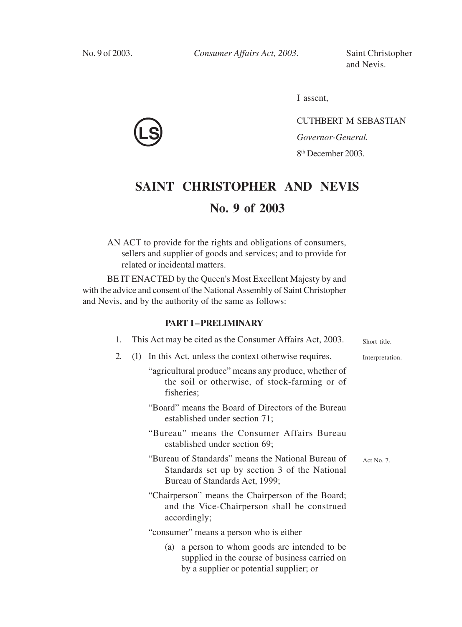No. 9 of 2003. *Consumer Affairs Act, 2003.* Saint Christopher

and Nevis.

I assent,

CUTHBERT M SEBASTIAN *Governor-General.* 8 th December 2003.

# **SAINT CHRISTOPHER AND NEVIS No. 9 of 2003**

AN ACT to provide for the rights and obligations of consumers, sellers and supplier of goods and services; and to provide for related or incidental matters.

BE IT ENACTED by the Queen's Most Excellent Majesty by and with the advice and consent of the National Assembly of Saint Christopher and Nevis, and by the authority of the same as follows:

# **PART I – PRELIMINARY**

| 1. | This Act may be cited as the Consumer Affairs Act, 2003.                                              | Short title.  |
|----|-------------------------------------------------------------------------------------------------------|---------------|
|    | 2. (1) In this Act, unless the context otherwise requires,                                            | Interpretatio |
|    | "agricultural produce" means any produce, whether of<br>the soil or otherwise, of stock-farming or of |               |
|    | fisheries;                                                                                            |               |

- "Board" means the Board of Directors of the Bureau established under section 71;
- "Bureau" means the Consumer Affairs Bureau established under section 69;
- "Bureau of Standards" means the National Bureau of Standards set up by section 3 of the National Bureau of Standards Act, 1999;
- "Chairperson" means the Chairperson of the Board; and the Vice-Chairperson shall be construed accordingly;

# "consumer" means a person who is either

(a) a person to whom goods are intended to be supplied in the course of business carried on by a supplier or potential supplier; or



 $\mathbf{n}$ .

Act No. 7.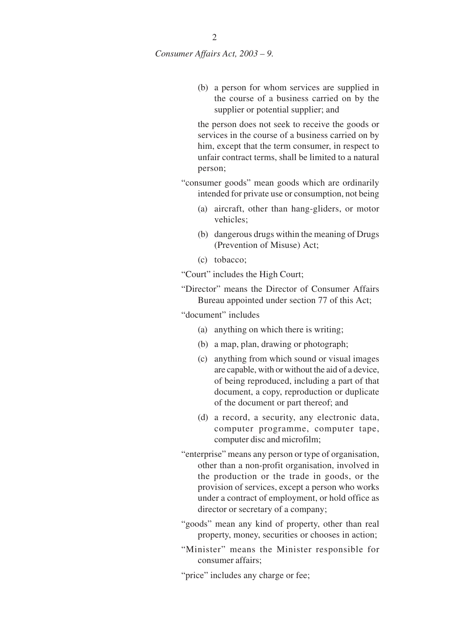(b) a person for whom services are supplied in the course of a business carried on by the supplier or potential supplier; and

the person does not seek to receive the goods or services in the course of a business carried on by him, except that the term consumer, in respect to unfair contract terms, shall be limited to a natural person;

"consumer goods" mean goods which are ordinarily intended for private use or consumption, not being

- (a) aircraft, other than hang-gliders, or motor vehicles;
- (b) dangerous drugs within the meaning of Drugs (Prevention of Misuse) Act;
- (c) tobacco;

"Court" includes the High Court;

"Director" means the Director of Consumer Affairs Bureau appointed under section 77 of this Act;

"document" includes

- (a) anything on which there is writing;
- (b) a map, plan, drawing or photograph;
- (c) anything from which sound or visual images are capable, with or without the aid of a device, of being reproduced, including a part of that document, a copy, reproduction or duplicate of the document or part thereof; and
- (d) a record, a security, any electronic data, computer programme, computer tape, computer disc and microfilm;
- "enterprise" means any person or type of organisation, other than a non-profit organisation, involved in the production or the trade in goods, or the provision of services, except a person who works under a contract of employment, or hold office as director or secretary of a company;
- "goods" mean any kind of property, other than real property, money, securities or chooses in action;
- "Minister" means the Minister responsible for consumer affairs;

"price" includes any charge or fee;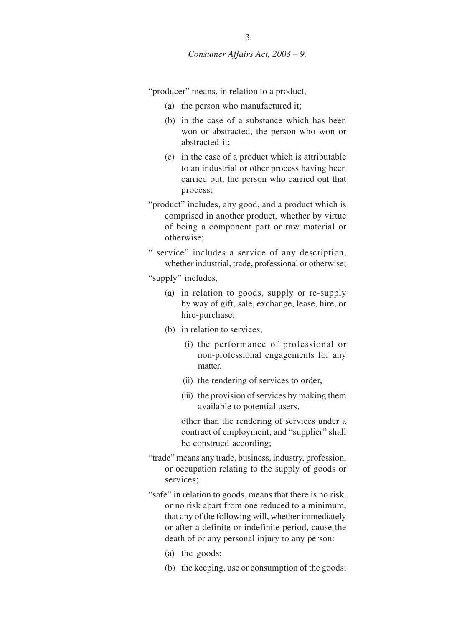"producer" means, in relation to a product,

- (a) the person who manufactured it;
- (b) in the case of a substance which has been won or abstracted, the person who won or abstracted it;
- (c) in the case of a product which is attributable to an industrial or other process having been carried out, the person who carried out that process;
- "product" includes, any good, and a product which is comprised in another product, whether by virtue of being a component part or raw material or otherwise;
- " service" includes a service of any description, whether industrial, trade, professional or otherwise;
- "supply" includes,
	- (a) in relation to goods, supply or re-supply by way of gift, sale, exchange, lease, hire, or hire-purchase;
	- (b) in relation to services,
		- (i) the performance of professional or non-professional engagements for any matter,
		- (ii) the rendering of services to order,
		- (iii) the provision of services by making them available to potential users,

other than the rendering of services under a contract of employment; and "supplier" shall be construed according;

- "trade" means any trade, business, industry, profession, or occupation relating to the supply of goods or services;
- "safe" in relation to goods, means that there is no risk, or no risk apart from one reduced to a minimum, that any of the following will, whether immediately or after a definite or indefinite period, cause the death of or any personal injury to any person:
	- (a) the goods;
	- (b) the keeping, use or consumption of the goods;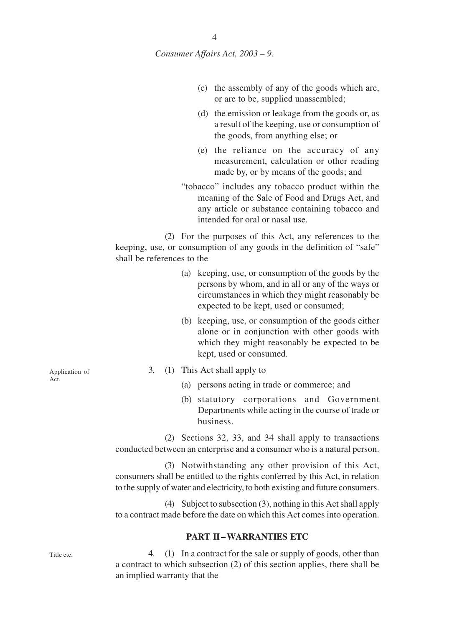- (c) the assembly of any of the goods which are, or are to be, supplied unassembled;
- (d) the emission or leakage from the goods or, as a result of the keeping, use or consumption of the goods, from anything else; or
- (e) the reliance on the accuracy of any measurement, calculation or other reading made by, or by means of the goods; and
- "tobacco" includes any tobacco product within the meaning of the Sale of Food and Drugs Act, and any article or substance containing tobacco and intended for oral or nasal use.

(2) For the purposes of this Act, any references to the keeping, use, or consumption of any goods in the definition of "safe" shall be references to the

- (a) keeping, use, or consumption of the goods by the persons by whom, and in all or any of the ways or circumstances in which they might reasonably be expected to be kept, used or consumed;
- (b) keeping, use, or consumption of the goods either alone or in conjunction with other goods with which they might reasonably be expected to be kept, used or consumed.
- 3. (1) This Act shall apply to
	- (a) persons acting in trade or commerce; and
	- (b) statutory corporations and Government Departments while acting in the course of trade or business.

(2) Sections 32, 33, and 34 shall apply to transactions conducted between an enterprise and a consumer who is a natural person.

(3) Notwithstanding any other provision of this Act, consumers shall be entitled to the rights conferred by this Act, in relation to the supply of water and electricity, to both existing and future consumers.

(4) Subject to subsection (3), nothing in this Act shall apply to a contract made before the date on which this Act comes into operation.

# **PART II – WARRANTIES ETC**

4. (1) In a contract for the sale or supply of goods, other than a contract to which subsection (2) of this section applies, there shall be an implied warranty that the

Application of Act.

#### Title etc.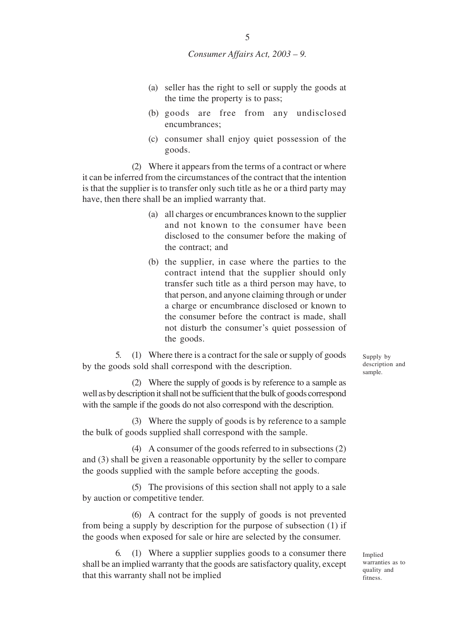- (a) seller has the right to sell or supply the goods at the time the property is to pass;
- (b) goods are free from any undisclosed encumbrances;
- (c) consumer shall enjoy quiet possession of the goods.

(2) Where it appears from the terms of a contract or where it can be inferred from the circumstances of the contract that the intention is that the supplier is to transfer only such title as he or a third party may have, then there shall be an implied warranty that.

- (a) all charges or encumbrances known to the supplier and not known to the consumer have been disclosed to the consumer before the making of the contract; and
- (b) the supplier, in case where the parties to the contract intend that the supplier should only transfer such title as a third person may have, to that person, and anyone claiming through or under a charge or encumbrance disclosed or known to the consumer before the contract is made, shall not disturb the consumer's quiet possession of the goods.

5. (1) Where there is a contract for the sale or supply of goods by the goods sold shall correspond with the description.

(2) Where the supply of goods is by reference to a sample as well as by description it shall not be sufficient that the bulk of goods correspond with the sample if the goods do not also correspond with the description.

(3) Where the supply of goods is by reference to a sample the bulk of goods supplied shall correspond with the sample.

(4) A consumer of the goods referred to in subsections (2) and (3) shall be given a reasonable opportunity by the seller to compare the goods supplied with the sample before accepting the goods.

(5) The provisions of this section shall not apply to a sale by auction or competitive tender.

(6) A contract for the supply of goods is not prevented from being a supply by description for the purpose of subsection (1) if the goods when exposed for sale or hire are selected by the consumer.

6. (1) Where a supplier supplies goods to a consumer there shall be an implied warranty that the goods are satisfactory quality, except that this warranty shall not be implied

Supply by description and sample.

Implied warranties as to quality and fitness.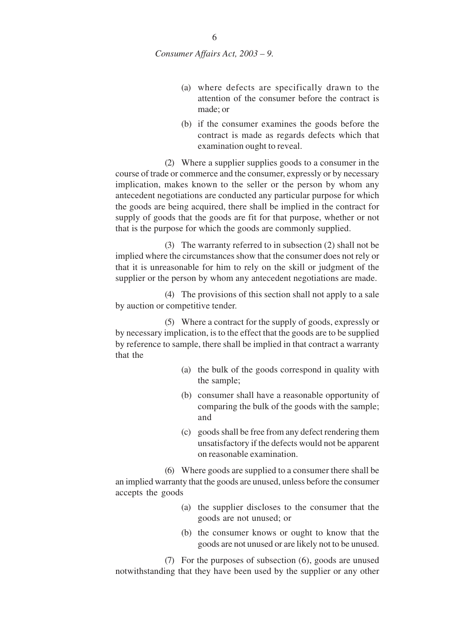- (a) where defects are specifically drawn to the attention of the consumer before the contract is made; or
- (b) if the consumer examines the goods before the contract is made as regards defects which that examination ought to reveal.

(2) Where a supplier supplies goods to a consumer in the course of trade or commerce and the consumer, expressly or by necessary implication, makes known to the seller or the person by whom any antecedent negotiations are conducted any particular purpose for which the goods are being acquired, there shall be implied in the contract for supply of goods that the goods are fit for that purpose, whether or not that is the purpose for which the goods are commonly supplied.

(3) The warranty referred to in subsection (2) shall not be implied where the circumstances show that the consumer does not rely or that it is unreasonable for him to rely on the skill or judgment of the supplier or the person by whom any antecedent negotiations are made.

(4) The provisions of this section shall not apply to a sale by auction or competitive tender.

(5) Where a contract for the supply of goods, expressly or by necessary implication, is to the effect that the goods are to be supplied by reference to sample, there shall be implied in that contract a warranty that the

- (a) the bulk of the goods correspond in quality with the sample;
- (b) consumer shall have a reasonable opportunity of comparing the bulk of the goods with the sample; and
- (c) goods shall be free from any defect rendering them unsatisfactory if the defects would not be apparent on reasonable examination.

(6) Where goods are supplied to a consumer there shall be an implied warranty that the goods are unused, unless before the consumer accepts the goods

- (a) the supplier discloses to the consumer that the goods are not unused; or
- (b) the consumer knows or ought to know that the goods are not unused or are likely not to be unused.

(7) For the purposes of subsection (6), goods are unused notwithstanding that they have been used by the supplier or any other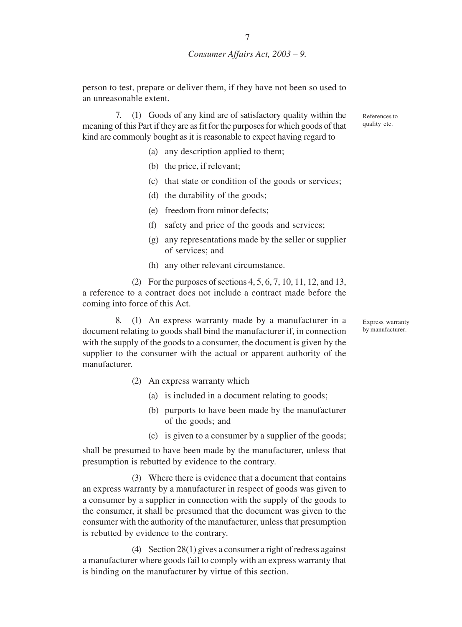person to test, prepare or deliver them, if they have not been so used to an unreasonable extent.

7. (1) Goods of any kind are of satisfactory quality within the meaning of this Part if they are as fit for the purposes for which goods of that kind are commonly bought as it is reasonable to expect having regard to

References to quality etc.

- (a) any description applied to them;
- (b) the price, if relevant;
- (c) that state or condition of the goods or services;
- (d) the durability of the goods;
- (e) freedom from minor defects;
- (f) safety and price of the goods and services;
- (g) any representations made by the seller or supplier of services; and
- (h) any other relevant circumstance.

(2) For the purposes of sections 4, 5, 6, 7, 10, 11, 12, and 13, a reference to a contract does not include a contract made before the coming into force of this Act.

8. (1) An express warranty made by a manufacturer in a document relating to goods shall bind the manufacturer if, in connection with the supply of the goods to a consumer, the document is given by the supplier to the consumer with the actual or apparent authority of the manufacturer.

Express warranty by manufacturer.

- (2) An express warranty which
	- (a) is included in a document relating to goods;
	- (b) purports to have been made by the manufacturer of the goods; and
	- (c) is given to a consumer by a supplier of the goods;

shall be presumed to have been made by the manufacturer, unless that presumption is rebutted by evidence to the contrary.

(3) Where there is evidence that a document that contains an express warranty by a manufacturer in respect of goods was given to a consumer by a supplier in connection with the supply of the goods to the consumer, it shall be presumed that the document was given to the consumer with the authority of the manufacturer, unless that presumption is rebutted by evidence to the contrary.

(4) Section 28(1) gives a consumer a right of redress against a manufacturer where goods fail to comply with an express warranty that is binding on the manufacturer by virtue of this section.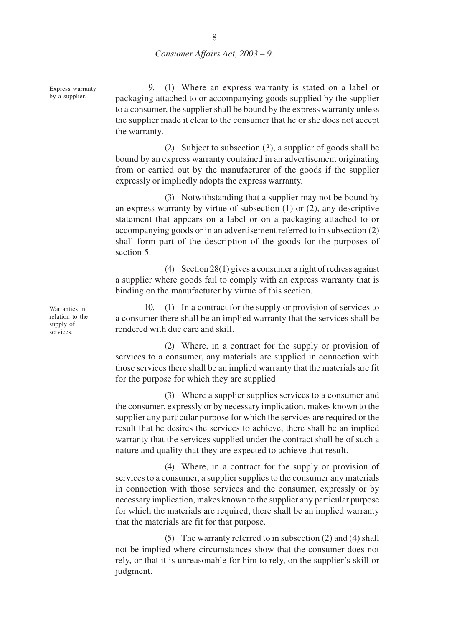9. (1) Where an express warranty is stated on a label or packaging attached to or accompanying goods supplied by the supplier to a consumer, the supplier shall be bound by the express warranty unless the supplier made it clear to the consumer that he or she does not accept the warranty.

(2) Subject to subsection (3), a supplier of goods shall be bound by an express warranty contained in an advertisement originating from or carried out by the manufacturer of the goods if the supplier expressly or impliedly adopts the express warranty.

(3) Notwithstanding that a supplier may not be bound by an express warranty by virtue of subsection (1) or (2), any descriptive statement that appears on a label or on a packaging attached to or accompanying goods or in an advertisement referred to in subsection (2) shall form part of the description of the goods for the purposes of section 5.

(4) Section 28(1) gives a consumer a right of redress against a supplier where goods fail to comply with an express warranty that is binding on the manufacturer by virtue of this section.

10. (1) In a contract for the supply or provision of services to a consumer there shall be an implied warranty that the services shall be rendered with due care and skill.

(2) Where, in a contract for the supply or provision of services to a consumer, any materials are supplied in connection with those services there shall be an implied warranty that the materials are fit for the purpose for which they are supplied

(3) Where a supplier supplies services to a consumer and the consumer, expressly or by necessary implication, makes known to the supplier any particular purpose for which the services are required or the result that he desires the services to achieve, there shall be an implied warranty that the services supplied under the contract shall be of such a nature and quality that they are expected to achieve that result.

(4) Where, in a contract for the supply or provision of services to a consumer, a supplier supplies to the consumer any materials in connection with those services and the consumer, expressly or by necessary implication, makes known to the supplier any particular purpose for which the materials are required, there shall be an implied warranty that the materials are fit for that purpose.

(5) The warranty referred to in subsection (2) and (4) shall not be implied where circumstances show that the consumer does not rely, or that it is unreasonable for him to rely, on the supplier's skill or judgment.

Warranties in relation to the supply of services.

Express warranty by a supplier.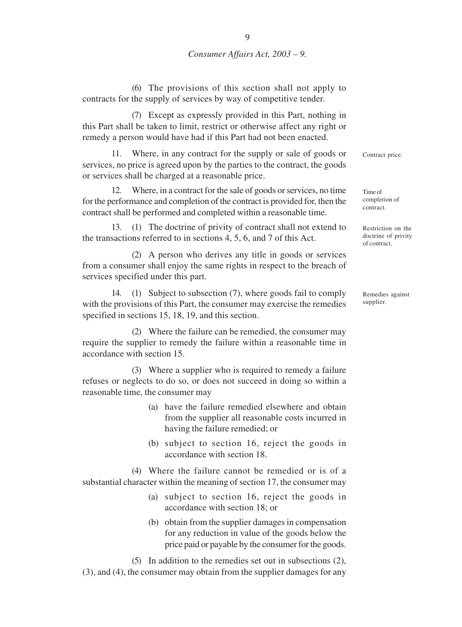(6) The provisions of this section shall not apply to contracts for the supply of services by way of competitive tender.

(7) Except as expressly provided in this Part, nothing in this Part shall be taken to limit, restrict or otherwise affect any right or remedy a person would have had if this Part had not been enacted.

11. Where, in any contract for the supply or sale of goods or services, no price is agreed upon by the parties to the contract, the goods or services shall be charged at a reasonable price.

Where, in a contract for the sale of goods or services, no time for the performance and completion of the contract is provided for, then the contract shall be performed and completed within a reasonable time.

13. (1) The doctrine of privity of contract shall not extend to the transactions referred to in sections 4, 5, 6, and 7 of this Act.

(2) A person who derives any title in goods or services from a consumer shall enjoy the same rights in respect to the breach of services specified under this part.

14. (1) Subject to subsection (7), where goods fail to comply with the provisions of this Part, the consumer may exercise the remedies specified in sections 15, 18, 19, and this section.

(2) Where the failure can be remedied, the consumer may require the supplier to remedy the failure within a reasonable time in accordance with section 15.

(3) Where a supplier who is required to remedy a failure refuses or neglects to do so, or does not succeed in doing so within a reasonable time, the consumer may

- (a) have the failure remedied elsewhere and obtain from the supplier all reasonable costs incurred in having the failure remedied; or
- (b) subject to section 16, reject the goods in accordance with section 18.

(4) Where the failure cannot be remedied or is of a substantial character within the meaning of section 17, the consumer may

- (a) subject to section 16, reject the goods in accordance with section 18; or
- (b) obtain from the supplier damages in compensation for any reduction in value of the goods below the price paid or payable by the consumer for the goods.

(5) In addition to the remedies set out in subsections (2), (3), and (4), the consumer may obtain from the supplier damages for any

Contract price.

Time of completion of contract.

Restriction on the doctrine of privity of contract.

Remedies against supplier.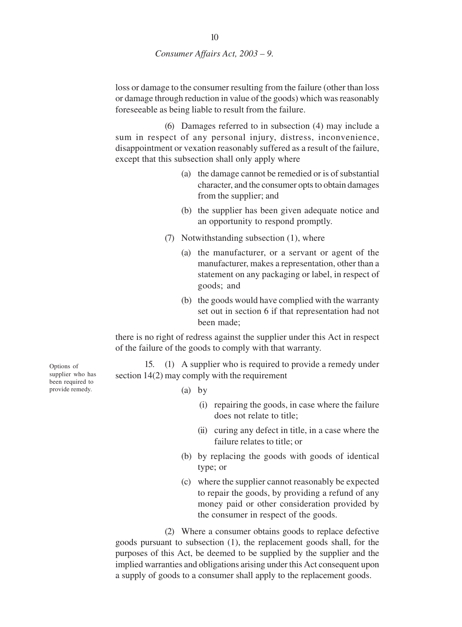loss or damage to the consumer resulting from the failure (other than loss or damage through reduction in value of the goods) which was reasonably foreseeable as being liable to result from the failure.

(6) Damages referred to in subsection (4) may include a sum in respect of any personal injury, distress, inconvenience, disappointment or vexation reasonably suffered as a result of the failure, except that this subsection shall only apply where

- (a) the damage cannot be remedied or is of substantial character, and the consumer opts to obtain damages from the supplier; and
- (b) the supplier has been given adequate notice and an opportunity to respond promptly.
- (7) Notwithstanding subsection (1), where
	- (a) the manufacturer, or a servant or agent of the manufacturer, makes a representation, other than a statement on any packaging or label, in respect of goods; and
	- (b) the goods would have complied with the warranty set out in section 6 if that representation had not been made;

there is no right of redress against the supplier under this Act in respect of the failure of the goods to comply with that warranty.

15. (1) A supplier who is required to provide a remedy under section 14(2) may comply with the requirement

- (a) by
	- (i) repairing the goods, in case where the failure does not relate to title;
	- (ii) curing any defect in title, in a case where the failure relates to title; or
- (b) by replacing the goods with goods of identical type; or
- (c) where the supplier cannot reasonably be expected to repair the goods, by providing a refund of any money paid or other consideration provided by the consumer in respect of the goods.

(2) Where a consumer obtains goods to replace defective goods pursuant to subsection (1), the replacement goods shall, for the purposes of this Act, be deemed to be supplied by the supplier and the implied warranties and obligations arising under this Act consequent upon a supply of goods to a consumer shall apply to the replacement goods.

Options of supplier who has been required to provide remedy.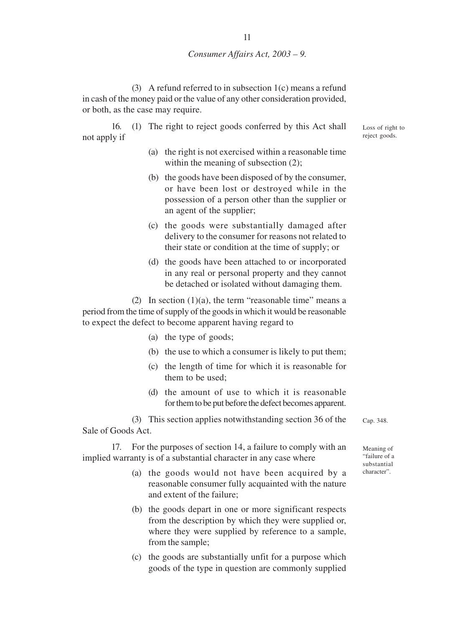(3) A refund referred to in subsection 1(c) means a refund in cash of the money paid or the value of any other consideration provided, or both, as the case may require.

16. (1) The right to reject goods conferred by this Act shall not apply if

- (a) the right is not exercised within a reasonable time within the meaning of subsection  $(2)$ ;
- (b) the goods have been disposed of by the consumer, or have been lost or destroyed while in the possession of a person other than the supplier or an agent of the supplier;
- (c) the goods were substantially damaged after delivery to the consumer for reasons not related to their state or condition at the time of supply; or
- (d) the goods have been attached to or incorporated in any real or personal property and they cannot be detached or isolated without damaging them.

(2) In section  $(1)(a)$ , the term "reasonable time" means a period from the time of supply of the goods in which it would be reasonable to expect the defect to become apparent having regard to

- (a) the type of goods;
- (b) the use to which a consumer is likely to put them;
- (c) the length of time for which it is reasonable for them to be used;
- (d) the amount of use to which it is reasonable for them to be put before the defect becomes apparent.

(3) This section applies notwithstanding section 36 of the Sale of Goods Act.

17. For the purposes of section 14, a failure to comply with an implied warranty is of a substantial character in any case where

- (a) the goods would not have been acquired by a reasonable consumer fully acquainted with the nature and extent of the failure;
- (b) the goods depart in one or more significant respects from the description by which they were supplied or, where they were supplied by reference to a sample, from the sample;
- (c) the goods are substantially unfit for a purpose which goods of the type in question are commonly supplied

Cap. 348.

Meaning of "failure of a substantial character".

Loss of right to reject goods.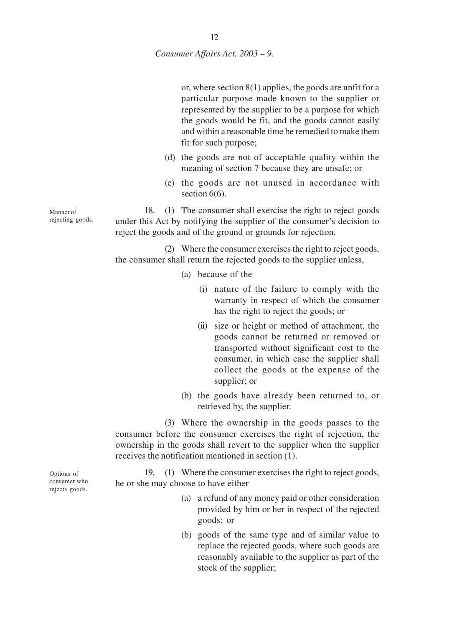|                               |                                            |  |                  | or, where section $8(1)$ applies, the goods are unfit for a<br>particular purpose made known to the supplier or<br>represented by the supplier to be a purpose for which<br>the goods would be fit, and the goods cannot easily<br>and within a reasonable time be remedied to make them<br>fit for such purpose; |  |  |  |  |
|-------------------------------|--------------------------------------------|--|------------------|-------------------------------------------------------------------------------------------------------------------------------------------------------------------------------------------------------------------------------------------------------------------------------------------------------------------|--|--|--|--|
|                               |                                            |  |                  | (d) the goods are not of acceptable quality within the<br>meaning of section 7 because they are unsafe; or                                                                                                                                                                                                        |  |  |  |  |
|                               | (e)                                        |  | section $6(6)$ . | the goods are not unused in accordance with                                                                                                                                                                                                                                                                       |  |  |  |  |
| Manner of<br>rejecting goods. | 18.                                        |  |                  | (1) The consumer shall exercise the right to reject goods<br>under this Act by notifying the supplier of the consumer's decision to<br>reject the goods and of the ground or grounds for rejection.                                                                                                               |  |  |  |  |
|                               |                                            |  |                  | (2) Where the consumer exercises the right to reject goods,<br>the consumer shall return the rejected goods to the supplier unless,                                                                                                                                                                               |  |  |  |  |
|                               |                                            |  |                  | (a) because of the                                                                                                                                                                                                                                                                                                |  |  |  |  |
|                               |                                            |  |                  | (i) nature of the failure to comply with the<br>warranty in respect of which the consumer<br>has the right to reject the goods; or                                                                                                                                                                                |  |  |  |  |
|                               |                                            |  | (ii)             | size or height or method of attachment, the<br>goods cannot be returned or removed or<br>transported without significant cost to the<br>consumer, in which case the supplier shall<br>collect the goods at the expense of the<br>supplier; or                                                                     |  |  |  |  |
|                               |                                            |  |                  | (b) the goods have already been returned to, or<br>retrieved by, the supplier.                                                                                                                                                                                                                                    |  |  |  |  |
|                               |                                            |  |                  | (3) Where the ownership in the goods passes to the<br>consumer before the consumer exercises the right of rejection, the<br>ownership in the goods shall revert to the supplier when the supplier<br>receives the notification mentioned in section (1).                                                          |  |  |  |  |
| Options of<br>consumer who    | 19.<br>he or she may choose to have either |  |                  | (1) Where the consumer exercises the right to reject goods,                                                                                                                                                                                                                                                       |  |  |  |  |
| rejects goods.                |                                            |  |                  | (a) a refund of any money paid or other consideration<br>provided by him or her in respect of the rejected<br>goods; or                                                                                                                                                                                           |  |  |  |  |

(b) goods of the same type and of similar value to replace the rejected goods, where such goods are reasonably available to the supplier as part of the stock of the supplier;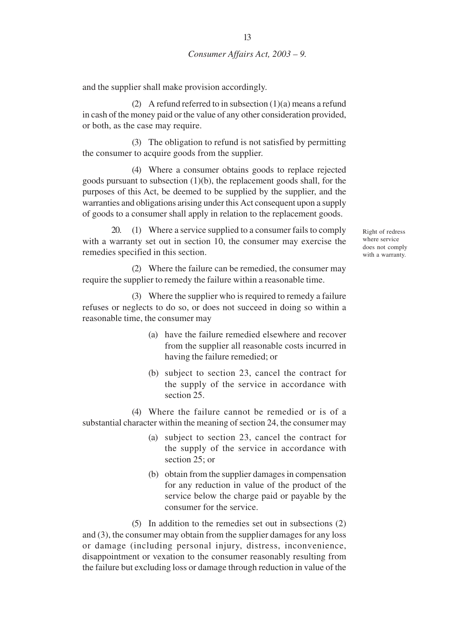and the supplier shall make provision accordingly.

(2) A refund referred to in subsection  $(1)(a)$  means a refund in cash of the money paid or the value of any other consideration provided, or both, as the case may require.

(3) The obligation to refund is not satisfied by permitting the consumer to acquire goods from the supplier.

(4) Where a consumer obtains goods to replace rejected goods pursuant to subsection (1)(b), the replacement goods shall, for the purposes of this Act, be deemed to be supplied by the supplier, and the warranties and obligations arising under this Act consequent upon a supply of goods to a consumer shall apply in relation to the replacement goods.

20. (1) Where a service supplied to a consumer fails to comply with a warranty set out in section 10, the consumer may exercise the remedies specified in this section.

(2) Where the failure can be remedied, the consumer may require the supplier to remedy the failure within a reasonable time.

(3) Where the supplier who is required to remedy a failure refuses or neglects to do so, or does not succeed in doing so within a reasonable time, the consumer may

- (a) have the failure remedied elsewhere and recover from the supplier all reasonable costs incurred in having the failure remedied; or
- (b) subject to section 23, cancel the contract for the supply of the service in accordance with section 25.

(4) Where the failure cannot be remedied or is of a substantial character within the meaning of section 24, the consumer may

- (a) subject to section 23, cancel the contract for the supply of the service in accordance with section 25; or
- (b) obtain from the supplier damages in compensation for any reduction in value of the product of the service below the charge paid or payable by the consumer for the service.

(5) In addition to the remedies set out in subsections (2) and (3), the consumer may obtain from the supplier damages for any loss or damage (including personal injury, distress, inconvenience, disappointment or vexation to the consumer reasonably resulting from the failure but excluding loss or damage through reduction in value of the Right of redress where service does not comply with a warranty.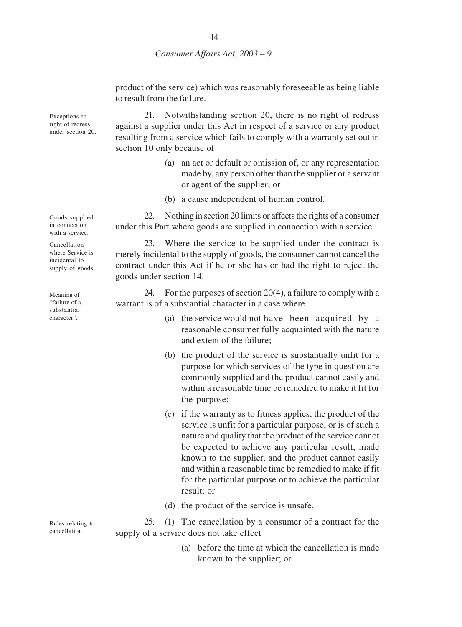product of the service) which was reasonably foreseeable as being liable to result from the failure.

21. Notwithstanding section 20, there is no right of redress against a supplier under this Act in respect of a service or any product resulting from a service which fails to comply with a warranty set out in section 10 only because of

- (a) an act or default or omission of, or any representation made by, any person other than the supplier or a servant or agent of the supplier; or
- (b) a cause independent of human control.

22. Nothing in section 20 limits or affects the rights of a consumer under this Part where goods are supplied in connection with a service.

23. Where the service to be supplied under the contract is merely incidental to the supply of goods, the consumer cannot cancel the contract under this Act if he or she has or had the right to reject the goods under section 14.

24. For the purposes of section 20(4), a failure to comply with a warrant is of a substantial character in a case where

- (a) the service would not have been acquired by a reasonable consumer fully acquainted with the nature and extent of the failure;
- (b) the product of the service is substantially unfit for a purpose for which services of the type in question are commonly supplied and the product cannot easily and within a reasonable time be remedied to make it fit for the purpose;
- (c) if the warranty as to fitness applies, the product of the service is unfit for a particular purpose, or is of such a nature and quality that the product of the service cannot be expected to achieve any particular result, made known to the supplier, and the product cannot easily and within a reasonable time be remedied to make if fit for the particular purpose or to achieve the particular result; or
- (d) the product of the service is unsafe.

25. (1) The cancellation by a consumer of a contract for the supply of a service does not take effect

> (a) before the time at which the cancellation is made known to the supplier; or

Exceptions to right of redress under section 20.

Goods supplied in connection with a service.

Cancellation where Service is incidental to supply of goods.

Meaning of "failure of a substantial character".

Rules relating to cancellation.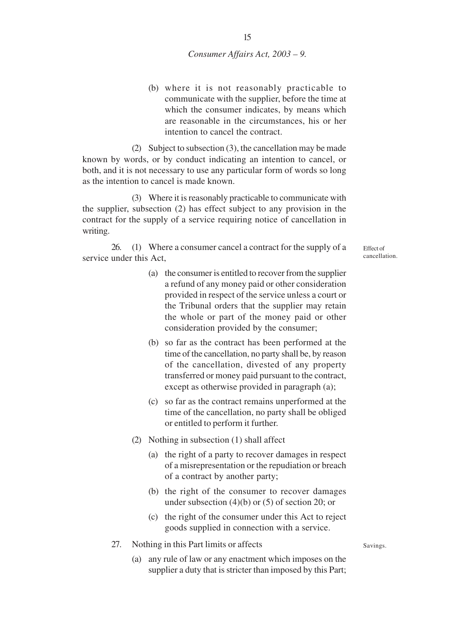(b) where it is not reasonably practicable to communicate with the supplier, before the time at which the consumer indicates, by means which are reasonable in the circumstances, his or her intention to cancel the contract.

(2) Subject to subsection (3), the cancellation may be made known by words, or by conduct indicating an intention to cancel, or both, and it is not necessary to use any particular form of words so long as the intention to cancel is made known.

(3) Where it is reasonably practicable to communicate with the supplier, subsection (2) has effect subject to any provision in the contract for the supply of a service requiring notice of cancellation in writing.

26. (1) Where a consumer cancel a contract for the supply of a service under this Act,

Effect of cancellation.

Savings.

- (a) the consumer is entitled to recover from the supplier a refund of any money paid or other consideration provided in respect of the service unless a court or the Tribunal orders that the supplier may retain the whole or part of the money paid or other consideration provided by the consumer;
- (b) so far as the contract has been performed at the time of the cancellation, no party shall be, by reason of the cancellation, divested of any property transferred or money paid pursuant to the contract, except as otherwise provided in paragraph (a);
- (c) so far as the contract remains unperformed at the time of the cancellation, no party shall be obliged or entitled to perform it further.
- (2) Nothing in subsection (1) shall affect
	- (a) the right of a party to recover damages in respect of a misrepresentation or the repudiation or breach of a contract by another party;
	- (b) the right of the consumer to recover damages under subsection  $(4)(b)$  or  $(5)$  of section 20; or
	- (c) the right of the consumer under this Act to reject goods supplied in connection with a service.
- 27. Nothing in this Part limits or affects
	- (a) any rule of law or any enactment which imposes on the supplier a duty that is stricter than imposed by this Part;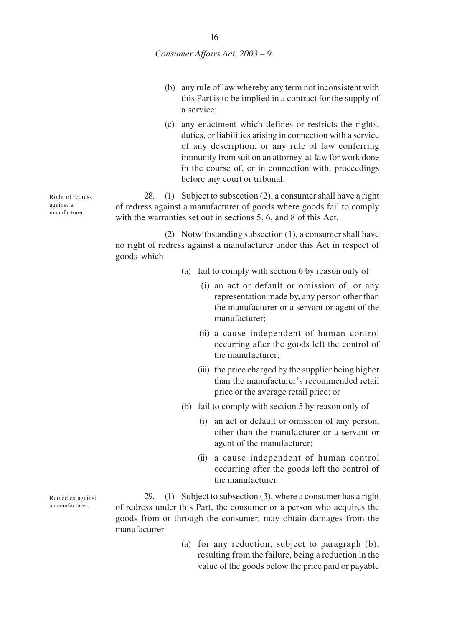- (b) any rule of law whereby any term not inconsistent with this Part is to be implied in a contract for the supply of a service;
- (c) any enactment which defines or restricts the rights, duties, or liabilities arising in connection with a service of any description, or any rule of law conferring immunity from suit on an attorney-at-law for work done in the course of, or in connection with, proceedings before any court or tribunal.

28. (1) Subject to subsection (2), a consumer shall have a right of redress against a manufacturer of goods where goods fail to comply with the warranties set out in sections 5, 6, and 8 of this Act.

(2) Notwithstanding subsection (1), a consumer shall have no right of redress against a manufacturer under this Act in respect of goods which

- (a) fail to comply with section 6 by reason only of
	- (i) an act or default or omission of, or any representation made by, any person other than the manufacturer or a servant or agent of the manufacturer;
	- (ii) a cause independent of human control occurring after the goods left the control of the manufacturer;
	- (iii) the price charged by the supplier being higher than the manufacturer's recommended retail price or the average retail price; or
- (b) fail to comply with section 5 by reason only of
	- (i) an act or default or omission of any person, other than the manufacturer or a servant or agent of the manufacturer;
	- (ii) a cause independent of human control occurring after the goods left the control of the manufacturer.

29. (1) Subject to subsection (3), where a consumer has a right of redress under this Part, the consumer or a person who acquires the goods from or through the consumer, may obtain damages from the manufacturer

> (a) for any reduction, subject to paragraph (b), resulting from the failure, being a reduction in the value of the goods below the price paid or payable

Right of redress against a manufacturer.

Remedies against a manufacturer.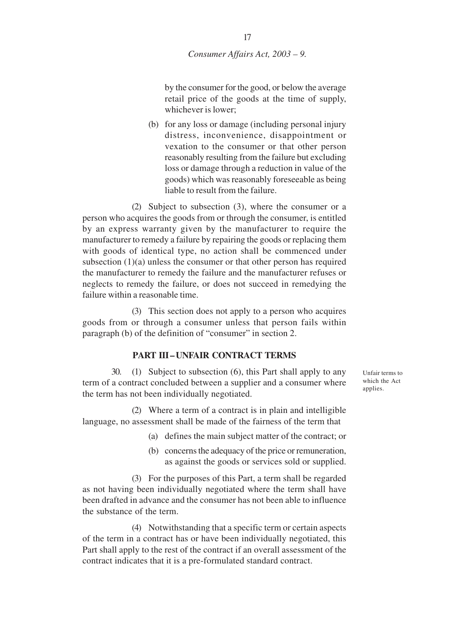by the consumer for the good, or below the average retail price of the goods at the time of supply, whichever is lower;

(b) for any loss or damage (including personal injury distress, inconvenience, disappointment or vexation to the consumer or that other person reasonably resulting from the failure but excluding loss or damage through a reduction in value of the goods) which was reasonably foreseeable as being liable to result from the failure.

(2) Subject to subsection (3), where the consumer or a person who acquires the goods from or through the consumer, is entitled by an express warranty given by the manufacturer to require the manufacturer to remedy a failure by repairing the goods or replacing them with goods of identical type, no action shall be commenced under subsection (1)(a) unless the consumer or that other person has required the manufacturer to remedy the failure and the manufacturer refuses or neglects to remedy the failure, or does not succeed in remedying the failure within a reasonable time.

(3) This section does not apply to a person who acquires goods from or through a consumer unless that person fails within paragraph (b) of the definition of "consumer" in section 2.

# **PART III – UNFAIR CONTRACT TERMS**

30. (1) Subject to subsection (6), this Part shall apply to any term of a contract concluded between a supplier and a consumer where the term has not been individually negotiated.

(2) Where a term of a contract is in plain and intelligible language, no assessment shall be made of the fairness of the term that

- (a) defines the main subject matter of the contract; or
- (b) concerns the adequacy of the price or remuneration, as against the goods or services sold or supplied.

(3) For the purposes of this Part, a term shall be regarded as not having been individually negotiated where the term shall have been drafted in advance and the consumer has not been able to influence the substance of the term.

(4) Notwithstanding that a specific term or certain aspects of the term in a contract has or have been individually negotiated, this Part shall apply to the rest of the contract if an overall assessment of the contract indicates that it is a pre-formulated standard contract.

Unfair terms to which the Act applies.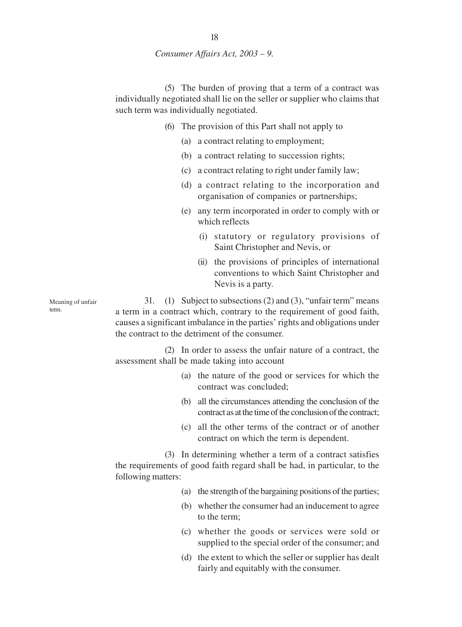(5) The burden of proving that a term of a contract was individually negotiated shall lie on the seller or supplier who claims that such term was individually negotiated.

- (6) The provision of this Part shall not apply to
	- (a) a contract relating to employment;
	- (b) a contract relating to succession rights;
	- (c) a contract relating to right under family law;
	- (d) a contract relating to the incorporation and organisation of companies or partnerships;
	- (e) any term incorporated in order to comply with or which reflects
		- (i) statutory or regulatory provisions of Saint Christopher and Nevis, or
		- (ii) the provisions of principles of international conventions to which Saint Christopher and Nevis is a party.

Meaning of unfair term.

31. (1) Subject to subsections (2) and (3), "unfair term" means a term in a contract which, contrary to the requirement of good faith, causes a significant imbalance in the parties' rights and obligations under the contract to the detriment of the consumer.

(2) In order to assess the unfair nature of a contract, the assessment shall be made taking into account

- (a) the nature of the good or services for which the contract was concluded;
- (b) all the circumstances attending the conclusion of the contract as at the time of the conclusion of the contract;
- (c) all the other terms of the contract or of another contract on which the term is dependent.

(3) In determining whether a term of a contract satisfies the requirements of good faith regard shall be had, in particular, to the following matters:

- (a) the strength of the bargaining positions of the parties;
- (b) whether the consumer had an inducement to agree to the term;
- (c) whether the goods or services were sold or supplied to the special order of the consumer; and
- (d) the extent to which the seller or supplier has dealt fairly and equitably with the consumer.

18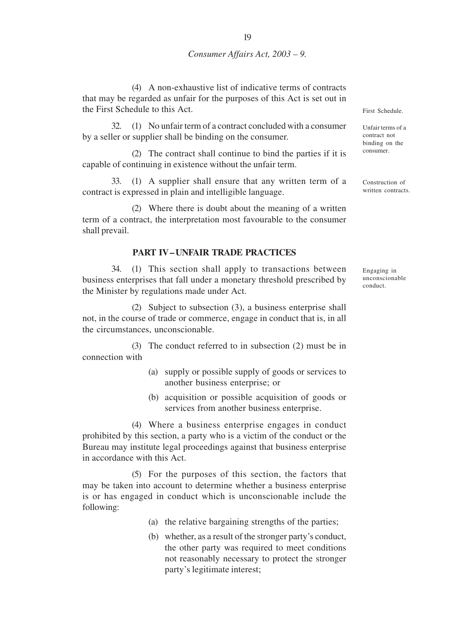(4) A non-exhaustive list of indicative terms of contracts that may be regarded as unfair for the purposes of this Act is set out in the First Schedule to this Act.

32. (1) No unfair term of a contract concluded with a consumer by a seller or supplier shall be binding on the consumer.

(2) The contract shall continue to bind the parties if it is capable of continuing in existence without the unfair term.

33. (1) A supplier shall ensure that any written term of a contract is expressed in plain and intelligible language.

(2) Where there is doubt about the meaning of a written term of a contract, the interpretation most favourable to the consumer shall prevail.

# **PART IV – UNFAIR TRADE PRACTICES**

34. (1) This section shall apply to transactions between business enterprises that fall under a monetary threshold prescribed by the Minister by regulations made under Act.

(2) Subject to subsection (3), a business enterprise shall not, in the course of trade or commerce, engage in conduct that is, in all the circumstances, unconscionable.

(3) The conduct referred to in subsection (2) must be in connection with

- (a) supply or possible supply of goods or services to another business enterprise; or
- (b) acquisition or possible acquisition of goods or services from another business enterprise.

(4) Where a business enterprise engages in conduct prohibited by this section, a party who is a victim of the conduct or the Bureau may institute legal proceedings against that business enterprise in accordance with this Act.

(5) For the purposes of this section, the factors that may be taken into account to determine whether a business enterprise is or has engaged in conduct which is unconscionable include the following:

- (a) the relative bargaining strengths of the parties;
- (b) whether, as a result of the stronger party's conduct, the other party was required to meet conditions not reasonably necessary to protect the stronger party's legitimate interest;

First Schedule.

Unfair terms of a contract not binding on the consumer.

Construction of written contracts.

Engaging in unconscionable conduct.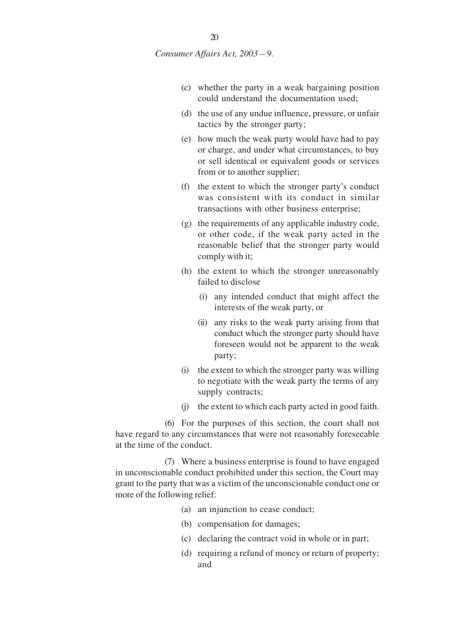- (c) whether the party in a weak bargaining position could understand the documentation used;
- (d) the use of any undue influence, pressure, or unfair tactics by the stronger party;
- (e) how much the weak party would have had to pay or charge, and under what circumstances, to buy or sell identical or equivalent goods or services from or to another supplier;
- (f) the extent to which the stronger party's conduct was consistent with its conduct in similar transactions with other business enterprise;
- (g) the requirements of any applicable industry code, or other code, if the weak party acted in the reasonable belief that the stronger party would comply with it;
- (h) the extent to which the stronger unreasonably failed to disclose
	- (i) any intended conduct that might affect the interests of the weak party, or
	- (ii) any risks to the weak party arising from that conduct which the stronger party should have foreseen would not be apparent to the weak party;
- (i) the extent to which the stronger party was willing to negotiate with the weak party the terms of any supply contracts;
- (j) the extent to which each party acted in good faith.

(6) For the purposes of this section, the court shall not have regard to any circumstances that were not reasonably foreseeable at the time of the conduct.

(7) Where a business enterprise is found to have engaged in unconscionable conduct prohibited under this section, the Court may grant to the party that was a victim of the unconscionable conduct one or more of the following relief:

- (a) an injunction to cease conduct;
- (b) compensation for damages;
- (c) declaring the contract void in whole or in part;
- (d) requiring a refund of money or return of property; and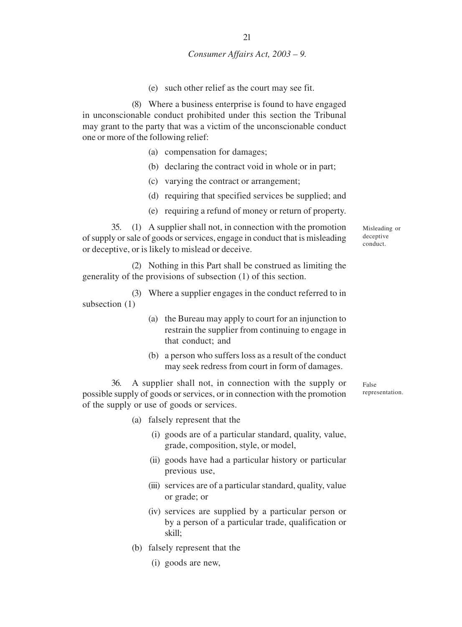(e) such other relief as the court may see fit.

(8) Where a business enterprise is found to have engaged in unconscionable conduct prohibited under this section the Tribunal may grant to the party that was a victim of the unconscionable conduct one or more of the following relief:

- (a) compensation for damages;
- (b) declaring the contract void in whole or in part;
- (c) varying the contract or arrangement;
- (d) requiring that specified services be supplied; and
- (e) requiring a refund of money or return of property.

35. (1) A supplier shall not, in connection with the promotion of supply or sale of goods or services, engage in conduct that is misleading or deceptive, or is likely to mislead or deceive.

(2) Nothing in this Part shall be construed as limiting the generality of the provisions of subsection (1) of this section.

(3) Where a supplier engages in the conduct referred to in subsection (1)

- (a) the Bureau may apply to court for an injunction to restrain the supplier from continuing to engage in that conduct; and
- (b) a person who suffers loss as a result of the conduct may seek redress from court in form of damages.

36. A supplier shall not, in connection with the supply or possible supply of goods or services, or in connection with the promotion of the supply or use of goods or services.

- (a) falsely represent that the
	- (i) goods are of a particular standard, quality, value, grade, composition, style, or model,
	- (ii) goods have had a particular history or particular previous use,
	- (iii) services are of a particular standard, quality, value or grade; or
	- (iv) services are supplied by a particular person or by a person of a particular trade, qualification or skill;
- (b) falsely represent that the
	- (i) goods are new,

False representation.

Misleading or deceptive conduct.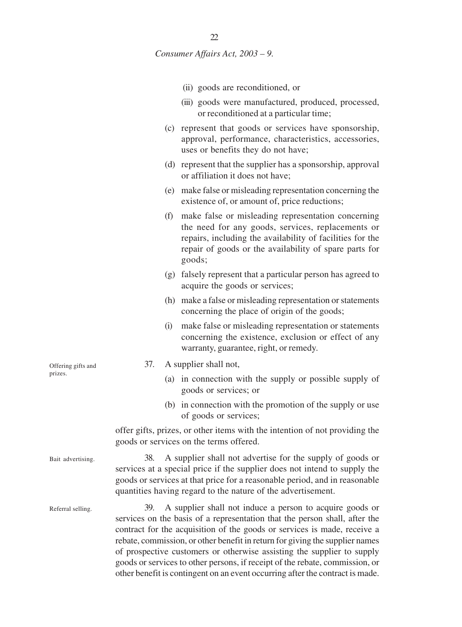- (ii) goods are reconditioned, or
- (iii) goods were manufactured, produced, processed, or reconditioned at a particular time;
- (c) represent that goods or services have sponsorship, approval, performance, characteristics, accessories, uses or benefits they do not have;
- (d) represent that the supplier has a sponsorship, approval or affiliation it does not have;
- (e) make false or misleading representation concerning the existence of, or amount of, price reductions;
- (f) make false or misleading representation concerning the need for any goods, services, replacements or repairs, including the availability of facilities for the repair of goods or the availability of spare parts for goods;
- (g) falsely represent that a particular person has agreed to acquire the goods or services;
- (h) make a false or misleading representation or statements concerning the place of origin of the goods;
- (i) make false or misleading representation or statements concerning the existence, exclusion or effect of any warranty, guarantee, right, or remedy.
- 37. A supplier shall not,
	- (a) in connection with the supply or possible supply of goods or services; or
	- (b) in connection with the promotion of the supply or use of goods or services;

offer gifts, prizes, or other items with the intention of not providing the goods or services on the terms offered.

38. A supplier shall not advertise for the supply of goods or services at a special price if the supplier does not intend to supply the goods or services at that price for a reasonable period, and in reasonable quantities having regard to the nature of the advertisement.

39. A supplier shall not induce a person to acquire goods or services on the basis of a representation that the person shall, after the contract for the acquisition of the goods or services is made, receive a rebate, commission, or other benefit in return for giving the supplier names of prospective customers or otherwise assisting the supplier to supply goods or services to other persons, if receipt of the rebate, commission, or other benefit is contingent on an event occurring after the contract is made.

Offering gifts and prizes.

Referral selling.

Bait advertising.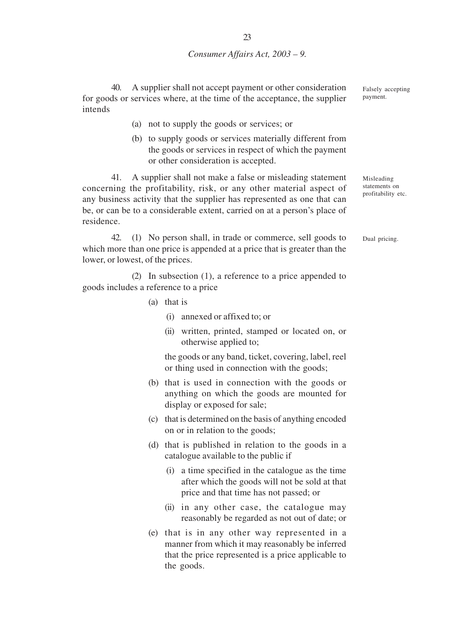40. A supplier shall not accept payment or other consideration for goods or services where, at the time of the acceptance, the supplier intends

- (a) not to supply the goods or services; or
- (b) to supply goods or services materially different from the goods or services in respect of which the payment or other consideration is accepted.

41. A supplier shall not make a false or misleading statement concerning the profitability, risk, or any other material aspect of any business activity that the supplier has represented as one that can be, or can be to a considerable extent, carried on at a person's place of residence.

42. (1) No person shall, in trade or commerce, sell goods to which more than one price is appended at a price that is greater than the lower, or lowest, of the prices.

(2) In subsection (1), a reference to a price appended to goods includes a reference to a price

- (a) that is
	- (i) annexed or affixed to; or
	- (ii) written, printed, stamped or located on, or otherwise applied to;

the goods or any band, ticket, covering, label, reel or thing used in connection with the goods;

- (b) that is used in connection with the goods or anything on which the goods are mounted for display or exposed for sale;
- (c) that is determined on the basis of anything encoded on or in relation to the goods;
- (d) that is published in relation to the goods in a catalogue available to the public if
	- (i) a time specified in the catalogue as the time after which the goods will not be sold at that price and that time has not passed; or
	- (ii) in any other case, the catalogue may reasonably be regarded as not out of date; or
- (e) that is in any other way represented in a manner from which it may reasonably be inferred that the price represented is a price applicable to the goods.

Falsely accepting payment.

Misleading statements on profitability etc.

Dual pricing.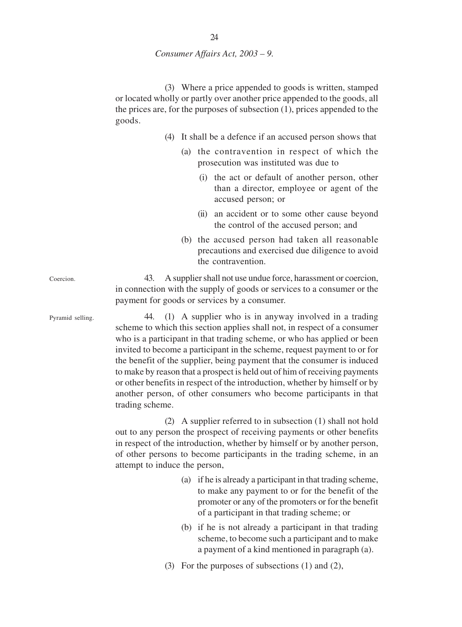(3) Where a price appended to goods is written, stamped or located wholly or partly over another price appended to the goods, all the prices are, for the purposes of subsection (1), prices appended to the goods.

- (4) It shall be a defence if an accused person shows that
	- (a) the contravention in respect of which the prosecution was instituted was due to
		- (i) the act or default of another person, other than a director, employee or agent of the accused person; or
		- (ii) an accident or to some other cause beyond the control of the accused person; and
	- (b) the accused person had taken all reasonable precautions and exercised due diligence to avoid the contravention.

43. A supplier shall not use undue force, harassment or coercion, in connection with the supply of goods or services to a consumer or the payment for goods or services by a consumer.

44. (1) A supplier who is in anyway involved in a trading scheme to which this section applies shall not, in respect of a consumer who is a participant in that trading scheme, or who has applied or been invited to become a participant in the scheme, request payment to or for the benefit of the supplier, being payment that the consumer is induced to make by reason that a prospect is held out of him of receiving payments or other benefits in respect of the introduction, whether by himself or by another person, of other consumers who become participants in that trading scheme.

(2) A supplier referred to in subsection (1) shall not hold out to any person the prospect of receiving payments or other benefits in respect of the introduction, whether by himself or by another person, of other persons to become participants in the trading scheme, in an attempt to induce the person,

- (a) if he is already a participant in that trading scheme, to make any payment to or for the benefit of the promoter or any of the promoters or for the benefit of a participant in that trading scheme; or
- (b) if he is not already a participant in that trading scheme, to become such a participant and to make a payment of a kind mentioned in paragraph (a).
- (3) For the purposes of subsections (1) and (2),

Coercion.

Pyramid selling.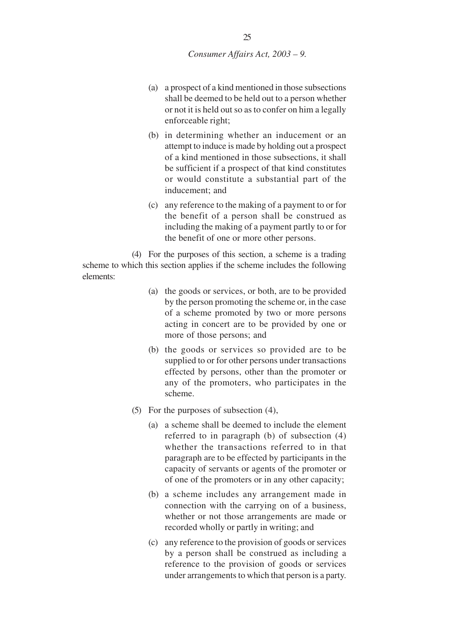- (a) a prospect of a kind mentioned in those subsections shall be deemed to be held out to a person whether or not it is held out so as to confer on him a legally enforceable right;
- (b) in determining whether an inducement or an attempt to induce is made by holding out a prospect of a kind mentioned in those subsections, it shall be sufficient if a prospect of that kind constitutes or would constitute a substantial part of the inducement; and
- (c) any reference to the making of a payment to or for the benefit of a person shall be construed as including the making of a payment partly to or for the benefit of one or more other persons.

(4) For the purposes of this section, a scheme is a trading scheme to which this section applies if the scheme includes the following elements:

- (a) the goods or services, or both, are to be provided by the person promoting the scheme or, in the case of a scheme promoted by two or more persons acting in concert are to be provided by one or more of those persons; and
- (b) the goods or services so provided are to be supplied to or for other persons under transactions effected by persons, other than the promoter or any of the promoters, who participates in the scheme.
- (5) For the purposes of subsection (4),
	- (a) a scheme shall be deemed to include the element referred to in paragraph (b) of subsection (4) whether the transactions referred to in that paragraph are to be effected by participants in the capacity of servants or agents of the promoter or of one of the promoters or in any other capacity;
	- (b) a scheme includes any arrangement made in connection with the carrying on of a business, whether or not those arrangements are made or recorded wholly or partly in writing; and
	- (c) any reference to the provision of goods or services by a person shall be construed as including a reference to the provision of goods or services under arrangements to which that person is a party.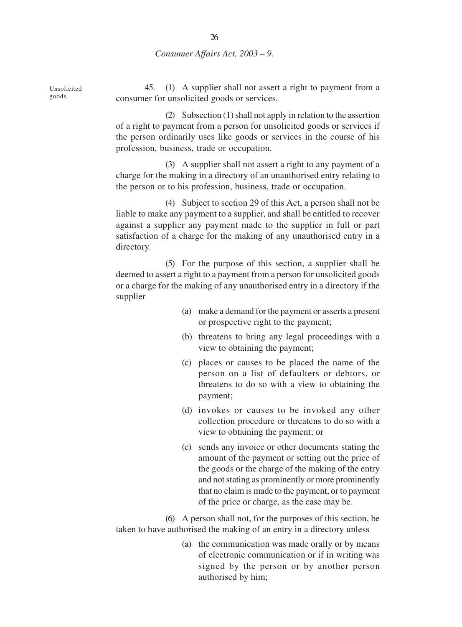Unsolicited goods.

45. (1) A supplier shall not assert a right to payment from a consumer for unsolicited goods or services.

(2) Subsection (1) shall not apply in relation to the assertion of a right to payment from a person for unsolicited goods or services if the person ordinarily uses like goods or services in the course of his profession, business, trade or occupation.

(3) A supplier shall not assert a right to any payment of a charge for the making in a directory of an unauthorised entry relating to the person or to his profession, business, trade or occupation.

(4) Subject to section 29 of this Act, a person shall not be liable to make any payment to a supplier, and shall be entitled to recover against a supplier any payment made to the supplier in full or part satisfaction of a charge for the making of any unauthorised entry in a directory.

(5) For the purpose of this section, a supplier shall be deemed to assert a right to a payment from a person for unsolicited goods or a charge for the making of any unauthorised entry in a directory if the supplier

- (a) make a demand for the payment or asserts a present or prospective right to the payment;
- (b) threatens to bring any legal proceedings with a view to obtaining the payment;
- (c) places or causes to be placed the name of the person on a list of defaulters or debtors, or threatens to do so with a view to obtaining the payment;
- (d) invokes or causes to be invoked any other collection procedure or threatens to do so with a view to obtaining the payment; or
- (e) sends any invoice or other documents stating the amount of the payment or setting out the price of the goods or the charge of the making of the entry and not stating as prominently or more prominently that no claim is made to the payment, or to payment of the price or charge, as the case may be.

(6) A person shall not, for the purposes of this section, be taken to have authorised the making of an entry in a directory unless

> (a) the communication was made orally or by means of electronic communication or if in writing was signed by the person or by another person authorised by him;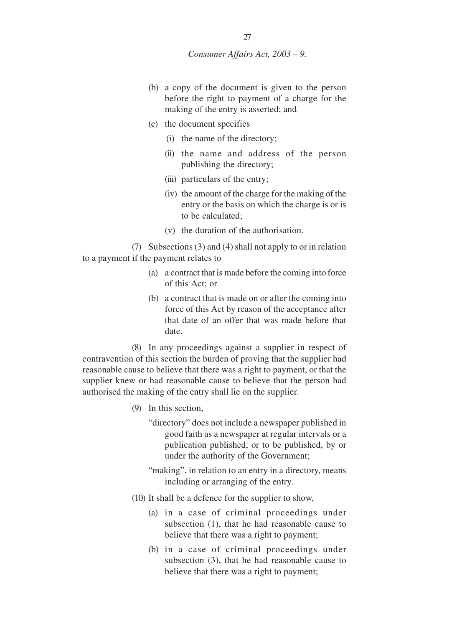- (b) a copy of the document is given to the person before the right to payment of a charge for the making of the entry is asserted; and
- (c) the document specifies
	- (i) the name of the directory;
	- (ii) the name and address of the person publishing the directory;
	- (iii) particulars of the entry;
	- (iv) the amount of the charge for the making of the entry or the basis on which the charge is or is to be calculated;
	- (v) the duration of the authorisation.

(7) Subsections (3) and (4) shall not apply to or in relation to a payment if the payment relates to

- (a) a contract that is made before the coming into force of this Act; or
- (b) a contract that is made on or after the coming into force of this Act by reason of the acceptance after that date of an offer that was made before that date.

(8) In any proceedings against a supplier in respect of contravention of this section the burden of proving that the supplier had reasonable cause to believe that there was a right to payment, or that the supplier knew or had reasonable cause to believe that the person had authorised the making of the entry shall lie on the supplier.

- (9) In this section,
	- "directory" does not include a newspaper published in good faith as a newspaper at regular intervals or a publication published, or to be published, by or under the authority of the Government;
	- "making", in relation to an entry in a directory, means including or arranging of the entry.
- (10) It shall be a defence for the supplier to show,
	- (a) in a case of criminal proceedings under subsection (1), that he had reasonable cause to believe that there was a right to payment;
	- (b) in a case of criminal proceedings under subsection (3), that he had reasonable cause to believe that there was a right to payment;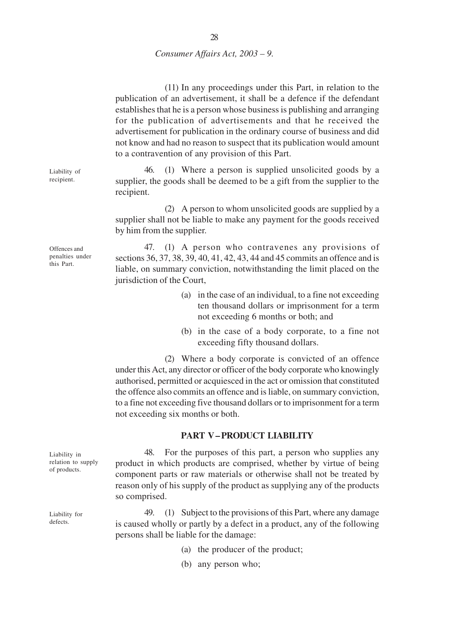(11) In any proceedings under this Part, in relation to the publication of an advertisement, it shall be a defence if the defendant establishes that he is a person whose business is publishing and arranging for the publication of advertisements and that he received the advertisement for publication in the ordinary course of business and did not know and had no reason to suspect that its publication would amount to a contravention of any provision of this Part.

46. (1) Where a person is supplied unsolicited goods by a supplier, the goods shall be deemed to be a gift from the supplier to the recipient.

(2) A person to whom unsolicited goods are supplied by a supplier shall not be liable to make any payment for the goods received by him from the supplier.

47. (1) A person who contravenes any provisions of sections 36, 37, 38, 39, 40, 41, 42, 43, 44 and 45 commits an offence and is liable, on summary conviction, notwithstanding the limit placed on the jurisdiction of the Court,

- (a) in the case of an individual, to a fine not exceeding ten thousand dollars or imprisonment for a term not exceeding 6 months or both; and
- (b) in the case of a body corporate, to a fine not exceeding fifty thousand dollars.

(2) Where a body corporate is convicted of an offence under this Act, any director or officer of the body corporate who knowingly authorised, permitted or acquiesced in the act or omission that constituted the offence also commits an offence and is liable, on summary conviction, to a fine not exceeding five thousand dollars or to imprisonment for a term not exceeding six months or both.

# **PART V – PRODUCT LIABILITY**

48. For the purposes of this part, a person who supplies any product in which products are comprised, whether by virtue of being component parts or raw materials or otherwise shall not be treated by reason only of his supply of the product as supplying any of the products so comprised.

49. (1) Subject to the provisions of this Part, where any damage is caused wholly or partly by a defect in a product, any of the following persons shall be liable for the damage:

- (a) the producer of the product;
- (b) any person who;

Liability of recipient.

Offences and penalties under this Part.

Liability in relation to supply of products.

Liability for defects.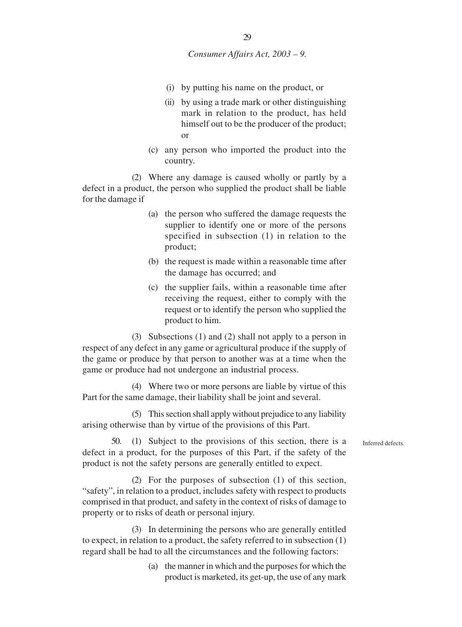- (i) by putting his name on the product, or
- (ii) by using a trade mark or other distinguishing mark in relation to the product, has held himself out to be the producer of the product; or
- (c) any person who imported the product into the country.

(2) Where any damage is caused wholly or partly by a defect in a product, the person who supplied the product shall be liable for the damage if

- (a) the person who suffered the damage requests the supplier to identify one or more of the persons specified in subsection (1) in relation to the product;
- (b) the request is made within a reasonable time after the damage has occurred; and
- (c) the supplier fails, within a reasonable time after receiving the request, either to comply with the request or to identify the person who supplied the product to him.

(3) Subsections (1) and (2) shall not apply to a person in respect of any defect in any game or agricultural produce if the supply of the game or produce by that person to another was at a time when the game or produce had not undergone an industrial process.

(4) Where two or more persons are liable by virtue of this Part for the same damage, their liability shall be joint and several.

(5) This section shall apply without prejudice to any liability arising otherwise than by virtue of the provisions of this Part.

50. (1) Subject to the provisions of this section, there is a defect in a product, for the purposes of this Part, if the safety of the product is not the safety persons are generally entitled to expect.

(2) For the purposes of subsection (1) of this section, "safety", in relation to a product, includes safety with respect to products comprised in that product, and safety in the context of risks of damage to property or to risks of death or personal injury.

(3) In determining the persons who are generally entitled to expect, in relation to a product, the safety referred to in subsection (1) regard shall be had to all the circumstances and the following factors:

> (a) the manner in which and the purposes for which the product is marketed, its get-up, the use of any mark

Inferred defects.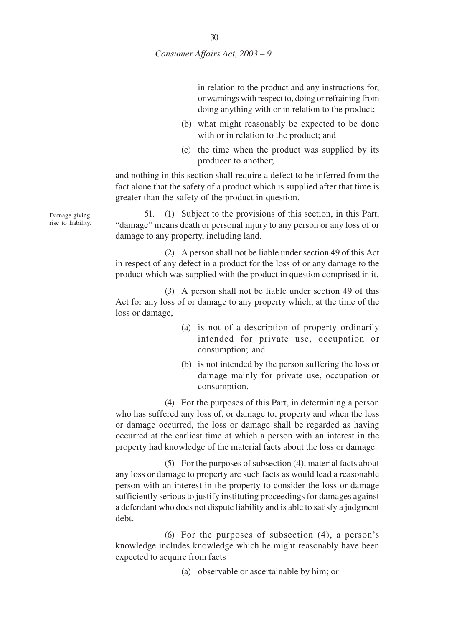in relation to the product and any instructions for, or warnings with respect to, doing or refraining from doing anything with or in relation to the product;

- (b) what might reasonably be expected to be done with or in relation to the product; and
- (c) the time when the product was supplied by its producer to another;

and nothing in this section shall require a defect to be inferred from the fact alone that the safety of a product which is supplied after that time is greater than the safety of the product in question.

51. (1) Subject to the provisions of this section, in this Part, "damage" means death or personal injury to any person or any loss of or damage to any property, including land.

(2) A person shall not be liable under section 49 of this Act in respect of any defect in a product for the loss of or any damage to the product which was supplied with the product in question comprised in it.

(3) A person shall not be liable under section 49 of this Act for any loss of or damage to any property which, at the time of the loss or damage,

- (a) is not of a description of property ordinarily intended for private use, occupation or consumption; and
- (b) is not intended by the person suffering the loss or damage mainly for private use, occupation or consumption.

(4) For the purposes of this Part, in determining a person who has suffered any loss of, or damage to, property and when the loss or damage occurred, the loss or damage shall be regarded as having occurred at the earliest time at which a person with an interest in the property had knowledge of the material facts about the loss or damage.

(5) For the purposes of subsection (4), material facts about any loss or damage to property are such facts as would lead a reasonable person with an interest in the property to consider the loss or damage sufficiently serious to justify instituting proceedings for damages against a defendant who does not dispute liability and is able to satisfy a judgment debt.

(6) For the purposes of subsection (4), a person's knowledge includes knowledge which he might reasonably have been expected to acquire from facts

(a) observable or ascertainable by him; or

Damage giving rise to liability.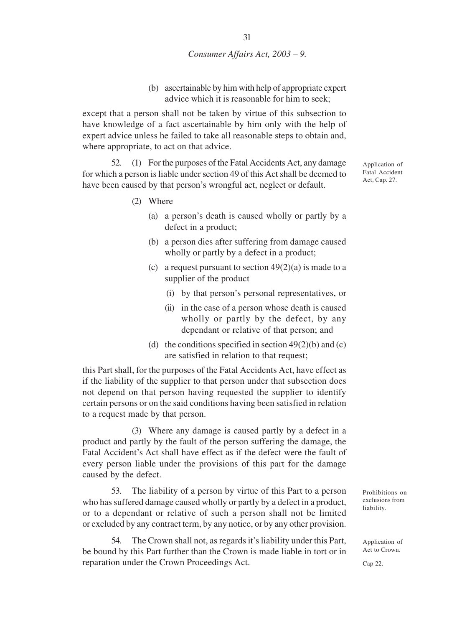(b) ascertainable by him with help of appropriate expert advice which it is reasonable for him to seek;

except that a person shall not be taken by virtue of this subsection to have knowledge of a fact ascertainable by him only with the help of expert advice unless he failed to take all reasonable steps to obtain and, where appropriate, to act on that advice.

52. (1) For the purposes of the Fatal Accidents Act, any damage for which a person is liable under section 49 of this Act shall be deemed to have been caused by that person's wrongful act, neglect or default.

- (2) Where
	- (a) a person's death is caused wholly or partly by a defect in a product;
	- (b) a person dies after suffering from damage caused wholly or partly by a defect in a product;
	- (c) a request pursuant to section  $49(2)(a)$  is made to a supplier of the product
		- (i) by that person's personal representatives, or
		- (ii) in the case of a person whose death is caused wholly or partly by the defect, by any dependant or relative of that person; and
	- (d) the conditions specified in section  $49(2)(b)$  and (c) are satisfied in relation to that request;

this Part shall, for the purposes of the Fatal Accidents Act, have effect as if the liability of the supplier to that person under that subsection does not depend on that person having requested the supplier to identify certain persons or on the said conditions having been satisfied in relation to a request made by that person.

(3) Where any damage is caused partly by a defect in a product and partly by the fault of the person suffering the damage, the Fatal Accident's Act shall have effect as if the defect were the fault of every person liable under the provisions of this part for the damage caused by the defect.

53. The liability of a person by virtue of this Part to a person who has suffered damage caused wholly or partly by a defect in a product, or to a dependant or relative of such a person shall not be limited or excluded by any contract term, by any notice, or by any other provision.

54. The Crown shall not, as regards it's liability under this Part, be bound by this Part further than the Crown is made liable in tort or in reparation under the Crown Proceedings Act.

Prohibitions on exclusions from liability.

Application of Act to Crown.

Cap 22.

Application of Fatal Accident Act, Cap. 27.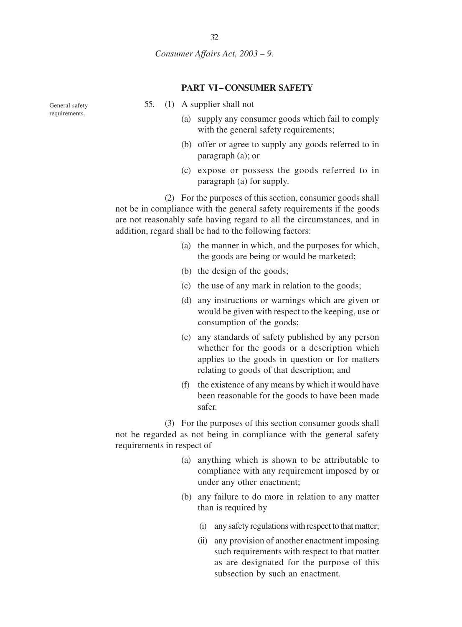# **PART VI – CONSUMER SAFETY**

55. (1) A supplier shall not

- (a) supply any consumer goods which fail to comply with the general safety requirements;
- (b) offer or agree to supply any goods referred to in paragraph (a); or
- (c) expose or possess the goods referred to in paragraph (a) for supply.

(2) For the purposes of this section, consumer goods shall not be in compliance with the general safety requirements if the goods are not reasonably safe having regard to all the circumstances, and in addition, regard shall be had to the following factors:

- (a) the manner in which, and the purposes for which, the goods are being or would be marketed;
- (b) the design of the goods;
- (c) the use of any mark in relation to the goods;
- (d) any instructions or warnings which are given or would be given with respect to the keeping, use or consumption of the goods;
- (e) any standards of safety published by any person whether for the goods or a description which applies to the goods in question or for matters relating to goods of that description; and
- (f) the existence of any means by which it would have been reasonable for the goods to have been made safer.

(3) For the purposes of this section consumer goods shall not be regarded as not being in compliance with the general safety requirements in respect of

- (a) anything which is shown to be attributable to compliance with any requirement imposed by or under any other enactment;
- (b) any failure to do more in relation to any matter than is required by
	- (i) any safety regulations with respect to that matter;
	- (ii) any provision of another enactment imposing such requirements with respect to that matter as are designated for the purpose of this subsection by such an enactment.

General safety requirements.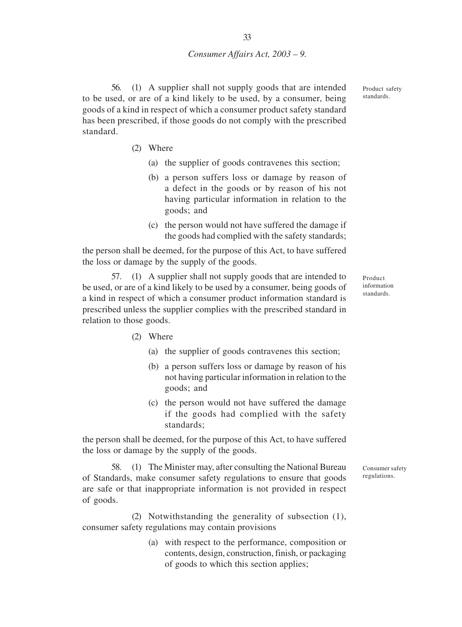56. (1) A supplier shall not supply goods that are intended to be used, or are of a kind likely to be used, by a consumer, being goods of a kind in respect of which a consumer product safety standard has been prescribed, if those goods do not comply with the prescribed standard.

- (2) Where
	- (a) the supplier of goods contravenes this section;
	- (b) a person suffers loss or damage by reason of a defect in the goods or by reason of his not having particular information in relation to the goods; and
	- (c) the person would not have suffered the damage if the goods had complied with the safety standards;

the person shall be deemed, for the purpose of this Act, to have suffered the loss or damage by the supply of the goods.

57. (1) A supplier shall not supply goods that are intended to be used, or are of a kind likely to be used by a consumer, being goods of a kind in respect of which a consumer product information standard is prescribed unless the supplier complies with the prescribed standard in relation to those goods.

Product information standards.

- (2) Where
	- (a) the supplier of goods contravenes this section;
	- (b) a person suffers loss or damage by reason of his not having particular information in relation to the goods; and
	- (c) the person would not have suffered the damage if the goods had complied with the safety standards;

the person shall be deemed, for the purpose of this Act, to have suffered the loss or damage by the supply of the goods.

58. (1) The Minister may, after consulting the National Bureau of Standards, make consumer safety regulations to ensure that goods are safe or that inappropriate information is not provided in respect of goods.

(2) Notwithstanding the generality of subsection (1), consumer safety regulations may contain provisions

> (a) with respect to the performance, composition or contents, design, construction, finish, or packaging of goods to which this section applies;

33

Product safety standards.

Consumer safety regulations.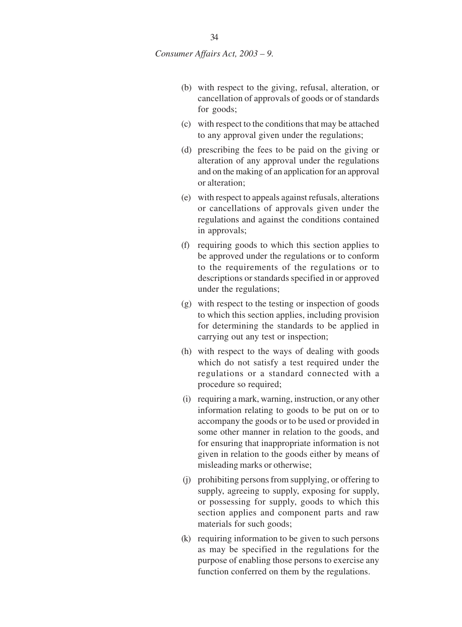- (b) with respect to the giving, refusal, alteration, or cancellation of approvals of goods or of standards for goods;
- (c) with respect to the conditions that may be attached to any approval given under the regulations;
- (d) prescribing the fees to be paid on the giving or alteration of any approval under the regulations and on the making of an application for an approval or alteration;
- (e) with respect to appeals against refusals, alterations or cancellations of approvals given under the regulations and against the conditions contained in approvals;
- (f) requiring goods to which this section applies to be approved under the regulations or to conform to the requirements of the regulations or to descriptions or standards specified in or approved under the regulations;
- (g) with respect to the testing or inspection of goods to which this section applies, including provision for determining the standards to be applied in carrying out any test or inspection;
- (h) with respect to the ways of dealing with goods which do not satisfy a test required under the regulations or a standard connected with a procedure so required;
- (i) requiring a mark, warning, instruction, or any other information relating to goods to be put on or to accompany the goods or to be used or provided in some other manner in relation to the goods, and for ensuring that inappropriate information is not given in relation to the goods either by means of misleading marks or otherwise;
- (j) prohibiting persons from supplying, or offering to supply, agreeing to supply, exposing for supply, or possessing for supply, goods to which this section applies and component parts and raw materials for such goods;
- (k) requiring information to be given to such persons as may be specified in the regulations for the purpose of enabling those persons to exercise any function conferred on them by the regulations.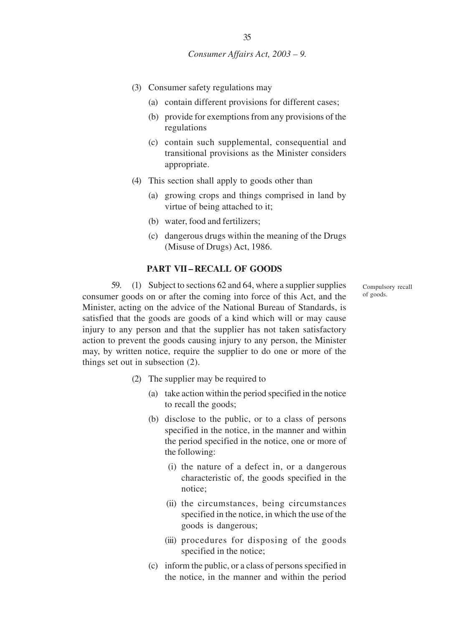- (3) Consumer safety regulations may
	- (a) contain different provisions for different cases;
	- (b) provide for exemptions from any provisions of the regulations
	- (c) contain such supplemental, consequential and transitional provisions as the Minister considers appropriate.
- (4) This section shall apply to goods other than
	- (a) growing crops and things comprised in land by virtue of being attached to it;
	- (b) water, food and fertilizers;
	- (c) dangerous drugs within the meaning of the Drugs (Misuse of Drugs) Act, 1986.

# **PART VII – RECALL OF GOODS**

59. (1) Subject to sections 62 and 64, where a supplier supplies consumer goods on or after the coming into force of this Act, and the Minister, acting on the advice of the National Bureau of Standards, is satisfied that the goods are goods of a kind which will or may cause injury to any person and that the supplier has not taken satisfactory action to prevent the goods causing injury to any person, the Minister may, by written notice, require the supplier to do one or more of the things set out in subsection (2).

- (2) The supplier may be required to
	- (a) take action within the period specified in the notice to recall the goods;
	- (b) disclose to the public, or to a class of persons specified in the notice, in the manner and within the period specified in the notice, one or more of the following:
		- (i) the nature of a defect in, or a dangerous characteristic of, the goods specified in the notice;
		- (ii) the circumstances, being circumstances specified in the notice, in which the use of the goods is dangerous;
		- (iii) procedures for disposing of the goods specified in the notice;
	- (c) inform the public, or a class of persons specified in the notice, in the manner and within the period

Compulsory recall of goods.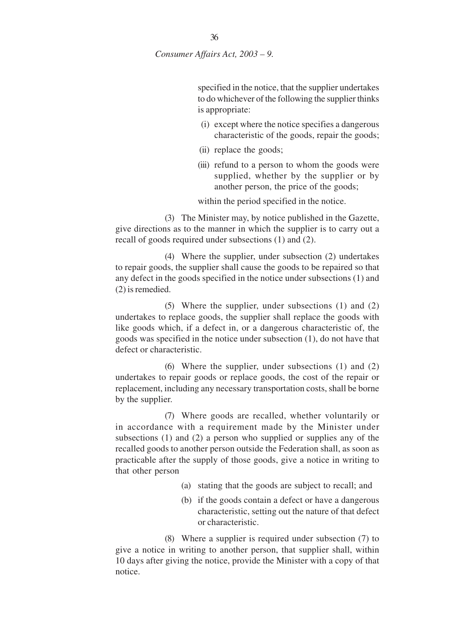specified in the notice, that the supplier undertakes to do whichever of the following the supplier thinks is appropriate:

- (i) except where the notice specifies a dangerous characteristic of the goods, repair the goods;
- (ii) replace the goods;
- (iii) refund to a person to whom the goods were supplied, whether by the supplier or by another person, the price of the goods;

within the period specified in the notice.

(3) The Minister may, by notice published in the Gazette, give directions as to the manner in which the supplier is to carry out a recall of goods required under subsections (1) and (2).

(4) Where the supplier, under subsection (2) undertakes to repair goods, the supplier shall cause the goods to be repaired so that any defect in the goods specified in the notice under subsections (1) and (2) is remedied.

(5) Where the supplier, under subsections (1) and (2) undertakes to replace goods, the supplier shall replace the goods with like goods which, if a defect in, or a dangerous characteristic of, the goods was specified in the notice under subsection (1), do not have that defect or characteristic.

(6) Where the supplier, under subsections (1) and (2) undertakes to repair goods or replace goods, the cost of the repair or replacement, including any necessary transportation costs, shall be borne by the supplier.

(7) Where goods are recalled, whether voluntarily or in accordance with a requirement made by the Minister under subsections (1) and (2) a person who supplied or supplies any of the recalled goods to another person outside the Federation shall, as soon as practicable after the supply of those goods, give a notice in writing to that other person

- (a) stating that the goods are subject to recall; and
- (b) if the goods contain a defect or have a dangerous characteristic, setting out the nature of that defect or characteristic.

(8) Where a supplier is required under subsection (7) to give a notice in writing to another person, that supplier shall, within 10 days after giving the notice, provide the Minister with a copy of that notice.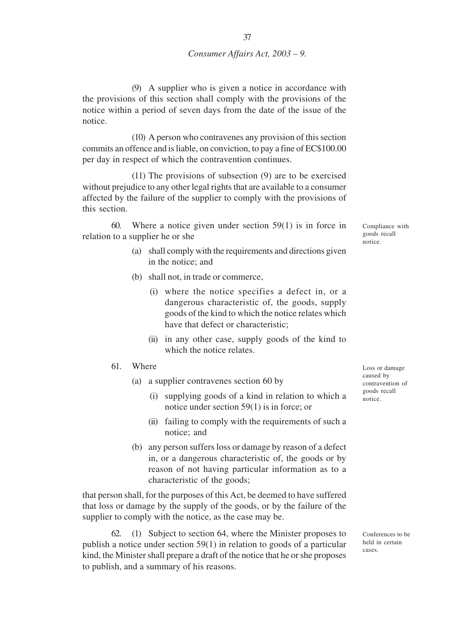(9) A supplier who is given a notice in accordance with the provisions of this section shall comply with the provisions of the notice within a period of seven days from the date of the issue of the notice.

(10) A person who contravenes any provision of this section commits an offence and is liable, on conviction, to pay a fine of EC\$100.00 per day in respect of which the contravention continues.

(11) The provisions of subsection (9) are to be exercised without prejudice to any other legal rights that are available to a consumer affected by the failure of the supplier to comply with the provisions of this section.

60. Where a notice given under section 59(1) is in force in relation to a supplier he or she

- (a) shall comply with the requirements and directions given in the notice; and
- (b) shall not, in trade or commerce,
	- (i) where the notice specifies a defect in, or a dangerous characteristic of, the goods, supply goods of the kind to which the notice relates which have that defect or characteristic;
	- (ii) in any other case, supply goods of the kind to which the notice relates.
- 61. Where
	- (a) a supplier contravenes section 60 by
		- (i) supplying goods of a kind in relation to which a notice under section 59(1) is in force; or
		- (ii) failing to comply with the requirements of such a notice; and
	- (b) any person suffers loss or damage by reason of a defect in, or a dangerous characteristic of, the goods or by reason of not having particular information as to a characteristic of the goods;

that person shall, for the purposes of this Act, be deemed to have suffered that loss or damage by the supply of the goods, or by the failure of the supplier to comply with the notice, as the case may be.

62. (1) Subject to section 64, where the Minister proposes to publish a notice under section 59(1) in relation to goods of a particular kind, the Minister shall prepare a draft of the notice that he or she proposes to publish, and a summary of his reasons.

Loss or damage caused by contravention of goods recall notice.

Compliance with goods recall notice.

Conferences to be held in certain cases.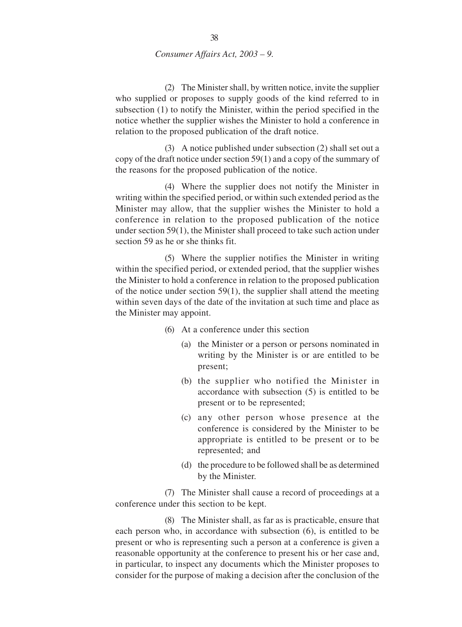(2) The Minister shall, by written notice, invite the supplier who supplied or proposes to supply goods of the kind referred to in subsection (1) to notify the Minister, within the period specified in the notice whether the supplier wishes the Minister to hold a conference in relation to the proposed publication of the draft notice.

(3) A notice published under subsection (2) shall set out a copy of the draft notice under section 59(1) and a copy of the summary of the reasons for the proposed publication of the notice.

(4) Where the supplier does not notify the Minister in writing within the specified period, or within such extended period as the Minister may allow, that the supplier wishes the Minister to hold a conference in relation to the proposed publication of the notice under section 59(1), the Minister shall proceed to take such action under section 59 as he or she thinks fit.

(5) Where the supplier notifies the Minister in writing within the specified period, or extended period, that the supplier wishes the Minister to hold a conference in relation to the proposed publication of the notice under section  $59(1)$ , the supplier shall attend the meeting within seven days of the date of the invitation at such time and place as the Minister may appoint.

- (6) At a conference under this section
	- (a) the Minister or a person or persons nominated in writing by the Minister is or are entitled to be present;
	- (b) the supplier who notified the Minister in accordance with subsection (5) is entitled to be present or to be represented;
	- (c) any other person whose presence at the conference is considered by the Minister to be appropriate is entitled to be present or to be represented; and
	- (d) the procedure to be followed shall be as determined by the Minister.

(7) The Minister shall cause a record of proceedings at a conference under this section to be kept.

(8) The Minister shall, as far as is practicable, ensure that each person who, in accordance with subsection (6), is entitled to be present or who is representing such a person at a conference is given a reasonable opportunity at the conference to present his or her case and, in particular, to inspect any documents which the Minister proposes to consider for the purpose of making a decision after the conclusion of the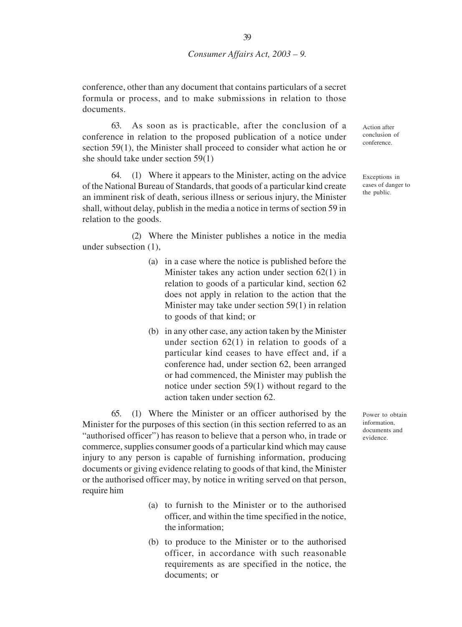conference, other than any document that contains particulars of a secret formula or process, and to make submissions in relation to those documents.

63. As soon as is practicable, after the conclusion of a conference in relation to the proposed publication of a notice under section 59(1), the Minister shall proceed to consider what action he or she should take under section 59(1)

64. (1) Where it appears to the Minister, acting on the advice of the National Bureau of Standards, that goods of a particular kind create an imminent risk of death, serious illness or serious injury, the Minister shall, without delay, publish in the media a notice in terms of section 59 in relation to the goods.

(2) Where the Minister publishes a notice in the media under subsection (1),

- (a) in a case where the notice is published before the Minister takes any action under section 62(1) in relation to goods of a particular kind, section 62 does not apply in relation to the action that the Minister may take under section 59(1) in relation to goods of that kind; or
- (b) in any other case, any action taken by the Minister under section  $62(1)$  in relation to goods of a particular kind ceases to have effect and, if a conference had, under section 62, been arranged or had commenced, the Minister may publish the notice under section 59(1) without regard to the action taken under section 62.

65. (1) Where the Minister or an officer authorised by the Minister for the purposes of this section (in this section referred to as an "authorised officer") has reason to believe that a person who, in trade or commerce, supplies consumer goods of a particular kind which may cause injury to any person is capable of furnishing information, producing documents or giving evidence relating to goods of that kind, the Minister or the authorised officer may, by notice in writing served on that person, require him

- (a) to furnish to the Minister or to the authorised officer, and within the time specified in the notice, the information;
- (b) to produce to the Minister or to the authorised officer, in accordance with such reasonable requirements as are specified in the notice, the documents; or

Action after conclusion of conference.

Exceptions in cases of danger to the public.

Power to obtain information, documents and evidence.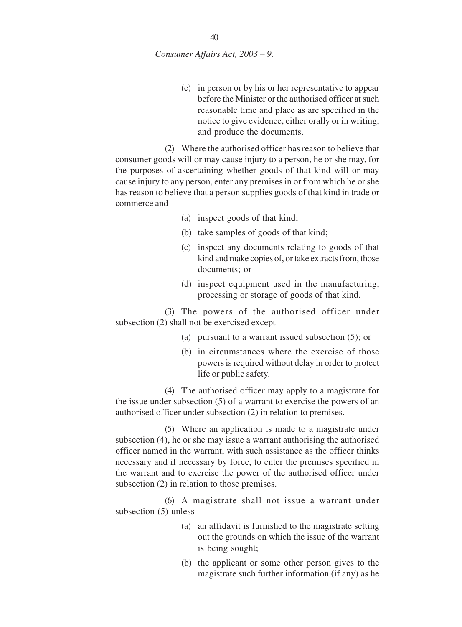(c) in person or by his or her representative to appear before the Minister or the authorised officer at such reasonable time and place as are specified in the notice to give evidence, either orally or in writing, and produce the documents.

(2) Where the authorised officer has reason to believe that consumer goods will or may cause injury to a person, he or she may, for the purposes of ascertaining whether goods of that kind will or may cause injury to any person, enter any premises in or from which he or she has reason to believe that a person supplies goods of that kind in trade or commerce and

- (a) inspect goods of that kind;
- (b) take samples of goods of that kind;
- (c) inspect any documents relating to goods of that kind and make copies of, or take extracts from, those documents; or
- (d) inspect equipment used in the manufacturing, processing or storage of goods of that kind.

(3) The powers of the authorised officer under subsection (2) shall not be exercised except

- (a) pursuant to a warrant issued subsection (5); or
- (b) in circumstances where the exercise of those powers is required without delay in order to protect life or public safety.

(4) The authorised officer may apply to a magistrate for the issue under subsection (5) of a warrant to exercise the powers of an authorised officer under subsection (2) in relation to premises.

(5) Where an application is made to a magistrate under subsection (4), he or she may issue a warrant authorising the authorised officer named in the warrant, with such assistance as the officer thinks necessary and if necessary by force, to enter the premises specified in the warrant and to exercise the power of the authorised officer under subsection (2) in relation to those premises.

(6) A magistrate shall not issue a warrant under subsection (5) unless

- (a) an affidavit is furnished to the magistrate setting out the grounds on which the issue of the warrant is being sought;
- (b) the applicant or some other person gives to the magistrate such further information (if any) as he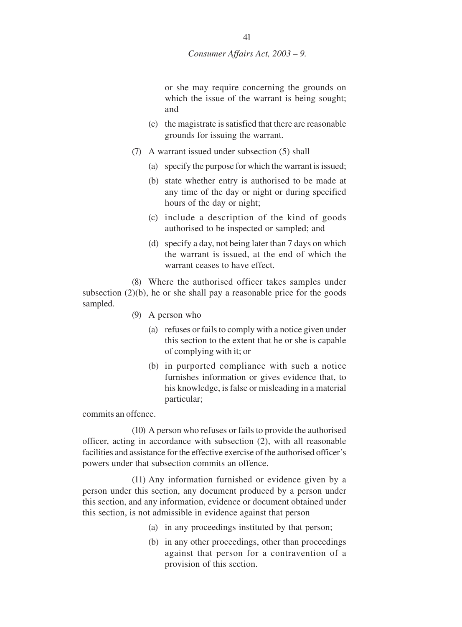or she may require concerning the grounds on which the issue of the warrant is being sought; and

- (c) the magistrate is satisfied that there are reasonable grounds for issuing the warrant.
- (7) A warrant issued under subsection (5) shall
	- (a) specify the purpose for which the warrant is issued;
	- (b) state whether entry is authorised to be made at any time of the day or night or during specified hours of the day or night;
	- (c) include a description of the kind of goods authorised to be inspected or sampled; and
	- (d) specify a day, not being later than 7 days on which the warrant is issued, at the end of which the warrant ceases to have effect.

(8) Where the authorised officer takes samples under subsection (2)(b), he or she shall pay a reasonable price for the goods sampled.

- (9) A person who
	- (a) refuses or fails to comply with a notice given under this section to the extent that he or she is capable of complying with it; or
	- (b) in purported compliance with such a notice furnishes information or gives evidence that, to his knowledge, is false or misleading in a material particular;

commits an offence.

(10) A person who refuses or fails to provide the authorised officer, acting in accordance with subsection (2), with all reasonable facilities and assistance for the effective exercise of the authorised officer's powers under that subsection commits an offence.

(11) Any information furnished or evidence given by a person under this section, any document produced by a person under this section, and any information, evidence or document obtained under this section, is not admissible in evidence against that person

- (a) in any proceedings instituted by that person;
- (b) in any other proceedings, other than proceedings against that person for a contravention of a provision of this section.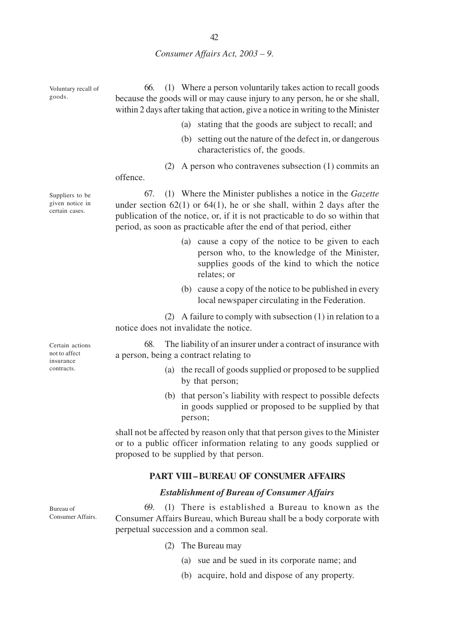66. (1) Where a person voluntarily takes action to recall goods because the goods will or may cause injury to any person, he or she shall, within 2 days after taking that action, give a notice in writing to the Minister

- (a) stating that the goods are subject to recall; and
- (b) setting out the nature of the defect in, or dangerous characteristics of, the goods.
- (2) A person who contravenes subsection (1) commits an

offence.

67. (1) Where the Minister publishes a notice in the *Gazette* under section  $62(1)$  or  $64(1)$ , he or she shall, within 2 days after the publication of the notice, or, if it is not practicable to do so within that period, as soon as practicable after the end of that period, either

- (a) cause a copy of the notice to be given to each person who, to the knowledge of the Minister, supplies goods of the kind to which the notice relates; or
- (b) cause a copy of the notice to be published in every local newspaper circulating in the Federation.

(2) A failure to comply with subsection (1) in relation to a notice does not invalidate the notice.

68. The liability of an insurer under a contract of insurance with a person, being a contract relating to

- (a) the recall of goods supplied or proposed to be supplied by that person;
- (b) that person's liability with respect to possible defects in goods supplied or proposed to be supplied by that person;

shall not be affected by reason only that that person gives to the Minister or to a public officer information relating to any goods supplied or proposed to be supplied by that person.

# **PART VIII – BUREAU OF CONSUMER AFFAIRS**

# *Establishment of Bureau of Consumer Affairs*

69. (1) There is established a Bureau to known as the Consumer Affairs Bureau, which Bureau shall be a body corporate with perpetual succession and a common seal.

- (2) The Bureau may
	- (a) sue and be sued in its corporate name; and
	- (b) acquire, hold and dispose of any property.

Suppliers to be given notice in certain cases.

Voluntary recall of goods.

Certain actions not to affect insurance contracts.

#### Bureau of Consumer Affairs.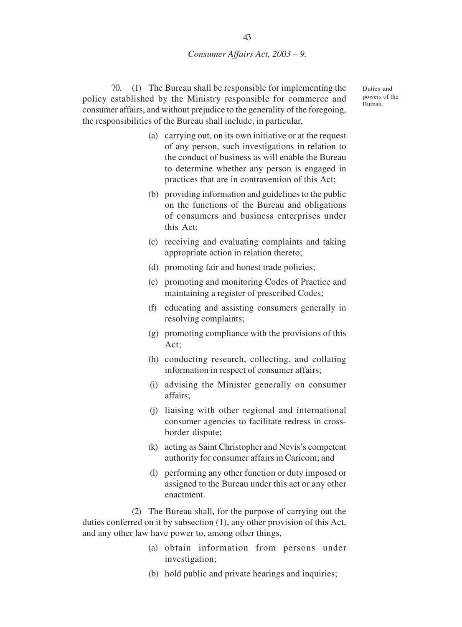70. (1) The Bureau shall be responsible for implementing the policy established by the Ministry responsible for commerce and consumer affairs, and without prejudice to the generality of the foregoing, the responsibilities of the Bureau shall include, in particular,

> (a) carrying out, on its own initiative or at the request of any person, such investigations in relation to the conduct of business as will enable the Bureau to determine whether any person is engaged in practices that are in contravention of this Act;

- (b) providing information and guidelines to the public on the functions of the Bureau and obligations of consumers and business enterprises under this Act;
- (c) receiving and evaluating complaints and taking appropriate action in relation thereto;
- (d) promoting fair and honest trade policies;
- (e) promoting and monitoring Codes of Practice and maintaining a register of prescribed Codes;
- (f) educating and assisting consumers generally in resolving complaints;
- (g) promoting compliance with the provisions of this Act;
- (h) conducting research, collecting, and collating information in respect of consumer affairs;
- (i) advising the Minister generally on consumer affairs;
- (j) liaising with other regional and international consumer agencies to facilitate redress in crossborder dispute;
- (k) acting as Saint Christopher and Nevis's competent authority for consumer affairs in Caricom; and
- (l) performing any other function or duty imposed or assigned to the Bureau under this act or any other enactment.

(2) The Bureau shall, for the purpose of carrying out the duties conferred on it by subsection (1), any other provision of this Act, and any other law have power to, among other things,

- (a) obtain information from persons under investigation;
- (b) hold public and private hearings and inquiries;

Duties and powers of the Bureau.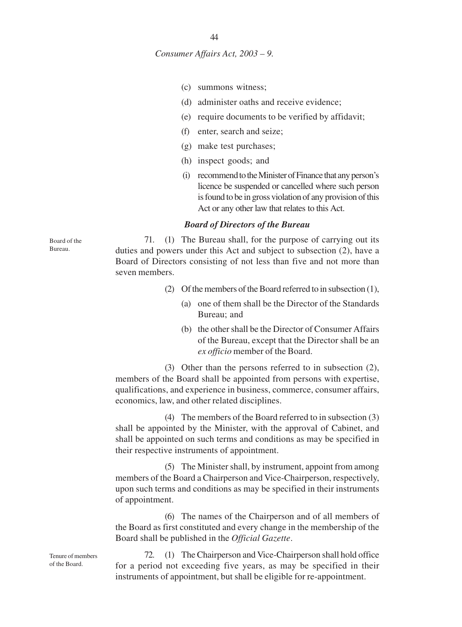- (c) summons witness;
- (d) administer oaths and receive evidence;
- (e) require documents to be verified by affidavit;
- (f) enter, search and seize;
- (g) make test purchases;
- (h) inspect goods; and
- (i) recommend to the Minister of Finance that any person's licence be suspended or cancelled where such person is found to be in gross violation of any provision of this Act or any other law that relates to this Act.

# *Board of Directors of the Bureau*

71. (1) The Bureau shall, for the purpose of carrying out its duties and powers under this Act and subject to subsection (2), have a Board of Directors consisting of not less than five and not more than seven members.

- (2) Of the members of the Board referred to in subsection (1),
	- (a) one of them shall be the Director of the Standards Bureau; and
	- (b) the other shall be the Director of Consumer Affairs of the Bureau, except that the Director shall be an *ex officio* member of the Board.

(3) Other than the persons referred to in subsection (2), members of the Board shall be appointed from persons with expertise, qualifications, and experience in business, commerce, consumer affairs, economics, law, and other related disciplines.

(4) The members of the Board referred to in subsection (3) shall be appointed by the Minister, with the approval of Cabinet, and shall be appointed on such terms and conditions as may be specified in their respective instruments of appointment.

(5) The Minister shall, by instrument, appoint from among members of the Board a Chairperson and Vice-Chairperson, respectively, upon such terms and conditions as may be specified in their instruments of appointment.

(6) The names of the Chairperson and of all members of the Board as first constituted and every change in the membership of the Board shall be published in the *Official Gazette*.

72. (1) The Chairperson and Vice-Chairperson shall hold office for a period not exceeding five years, as may be specified in their instruments of appointment, but shall be eligible for re-appointment.

Board of the Bureau.

Tenure of members of the Board.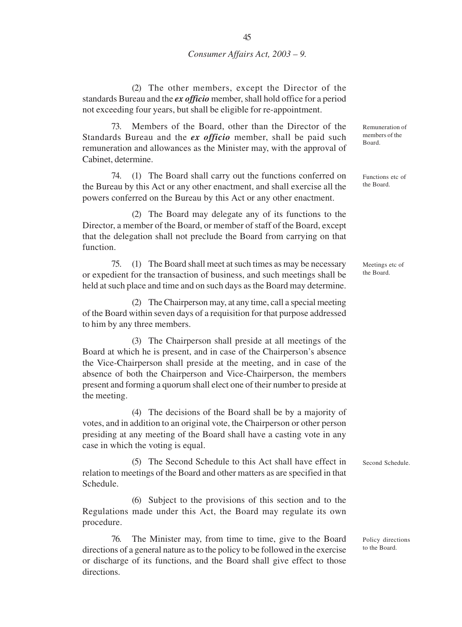(2) The other members, except the Director of the standards Bureau and the *ex officio* member, shall hold office for a period not exceeding four years, but shall be eligible for re-appointment.

73. Members of the Board, other than the Director of the Standards Bureau and the *ex officio* member, shall be paid such remuneration and allowances as the Minister may, with the approval of Cabinet, determine.

74. (1) The Board shall carry out the functions conferred on the Bureau by this Act or any other enactment, and shall exercise all the powers conferred on the Bureau by this Act or any other enactment.

(2) The Board may delegate any of its functions to the Director, a member of the Board, or member of staff of the Board, except that the delegation shall not preclude the Board from carrying on that function.

75. (1) The Board shall meet at such times as may be necessary or expedient for the transaction of business, and such meetings shall be held at such place and time and on such days as the Board may determine.

(2) The Chairperson may, at any time, call a special meeting of the Board within seven days of a requisition for that purpose addressed to him by any three members.

(3) The Chairperson shall preside at all meetings of the Board at which he is present, and in case of the Chairperson's absence the Vice-Chairperson shall preside at the meeting, and in case of the absence of both the Chairperson and Vice-Chairperson, the members present and forming a quorum shall elect one of their number to preside at the meeting.

(4) The decisions of the Board shall be by a majority of votes, and in addition to an original vote, the Chairperson or other person presiding at any meeting of the Board shall have a casting vote in any case in which the voting is equal.

(5) The Second Schedule to this Act shall have effect in relation to meetings of the Board and other matters as are specified in that Schedule.

(6) Subject to the provisions of this section and to the Regulations made under this Act, the Board may regulate its own procedure.

76. The Minister may, from time to time, give to the Board directions of a general nature as to the policy to be followed in the exercise or discharge of its functions, and the Board shall give effect to those directions.

Remuneration of members of the Board.

Functions etc of the Board.

Meetings etc of the Board.

Second Schedule.

Policy directions to the Board.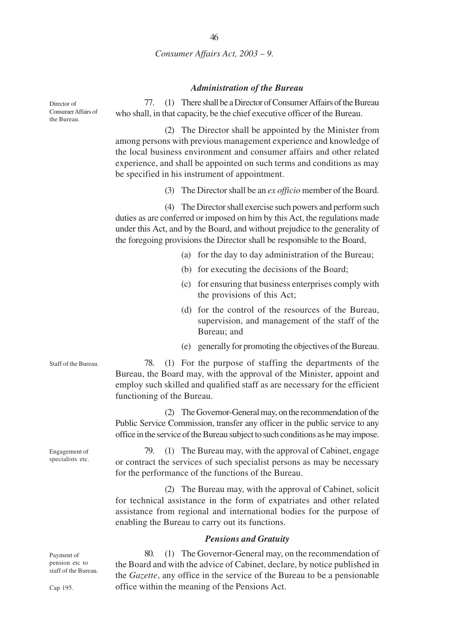#### *Administration of the Bureau*

77. (1) There shall be a Director of Consumer Affairs of the Bureau who shall, in that capacity, be the chief executive officer of the Bureau.

(2) The Director shall be appointed by the Minister from among persons with previous management experience and knowledge of the local business environment and consumer affairs and other related experience, and shall be appointed on such terms and conditions as may be specified in his instrument of appointment.

(3) The Director shall be an *ex officio* member of the Board.

(4) The Director shall exercise such powers and perform such duties as are conferred or imposed on him by this Act, the regulations made under this Act, and by the Board, and without prejudice to the generality of the foregoing provisions the Director shall be responsible to the Board,

- (a) for the day to day administration of the Bureau;
- (b) for executing the decisions of the Board;
- (c) for ensuring that business enterprises comply with the provisions of this Act;
- (d) for the control of the resources of the Bureau, supervision, and management of the staff of the Bureau; and
- (e) generally for promoting the objectives of the Bureau.

78. (1) For the purpose of staffing the departments of the Bureau, the Board may, with the approval of the Minister, appoint and employ such skilled and qualified staff as are necessary for the efficient functioning of the Bureau.

(2) The Governor-General may, on the recommendation of the Public Service Commission, transfer any officer in the public service to any office in the service of the Bureau subject to such conditions as he may impose.

 $(1)$  The Bureau may, with the approval of Cabinet, engage or contract the services of such specialist persons as may be necessary for the performance of the functions of the Bureau.

(2) The Bureau may, with the approval of Cabinet, solicit for technical assistance in the form of expatriates and other related assistance from regional and international bodies for the purpose of enabling the Bureau to carry out its functions.

# *Pensions and Gratuity*

80. (1) The Governor-General may, on the recommendation of the Board and with the advice of Cabinet, declare, by notice published in the *Gazette*, any office in the service of the Bureau to be a pensionable office within the meaning of the Pensions Act.

Director of Consumer Affairs of the Bureau.

Staff of the Bureau.

Engagement of specialists etc.

Payment of pension etc to staff of the Bureau.

Cap 195.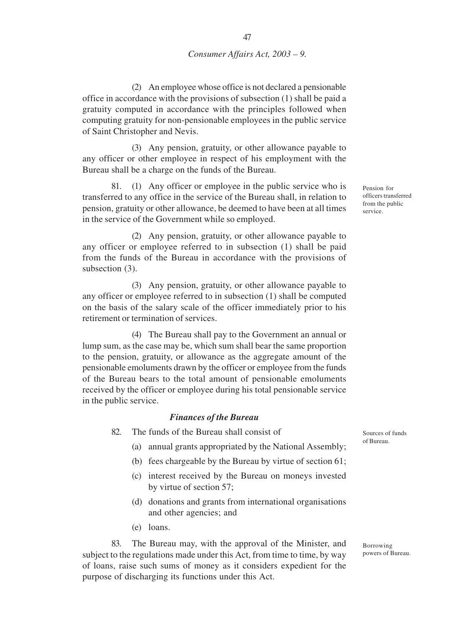(2) An employee whose office is not declared a pensionable office in accordance with the provisions of subsection (1) shall be paid a gratuity computed in accordance with the principles followed when computing gratuity for non-pensionable employees in the public service of Saint Christopher and Nevis.

(3) Any pension, gratuity, or other allowance payable to any officer or other employee in respect of his employment with the Bureau shall be a charge on the funds of the Bureau.

81. (1) Any officer or employee in the public service who is transferred to any office in the service of the Bureau shall, in relation to pension, gratuity or other allowance, be deemed to have been at all times in the service of the Government while so employed.

(2) Any pension, gratuity, or other allowance payable to any officer or employee referred to in subsection (1) shall be paid from the funds of the Bureau in accordance with the provisions of subsection (3).

(3) Any pension, gratuity, or other allowance payable to any officer or employee referred to in subsection (1) shall be computed on the basis of the salary scale of the officer immediately prior to his retirement or termination of services.

(4) The Bureau shall pay to the Government an annual or lump sum, as the case may be, which sum shall bear the same proportion to the pension, gratuity, or allowance as the aggregate amount of the pensionable emoluments drawn by the officer or employee from the funds of the Bureau bears to the total amount of pensionable emoluments received by the officer or employee during his total pensionable service in the public service.

# *Finances of the Bureau*

- 82. The funds of the Bureau shall consist of
	- (a) annual grants appropriated by the National Assembly;
	- (b) fees chargeable by the Bureau by virtue of section 61;
	- (c) interest received by the Bureau on moneys invested by virtue of section 57;
	- (d) donations and grants from international organisations and other agencies; and
	- (e) loans.

83. The Bureau may, with the approval of the Minister, and subject to the regulations made under this Act, from time to time, by way of loans, raise such sums of money as it considers expedient for the purpose of discharging its functions under this Act.

Pension for officers transferred from the public service.

Sources of funds of Bureau.

Borrowing powers of Bureau.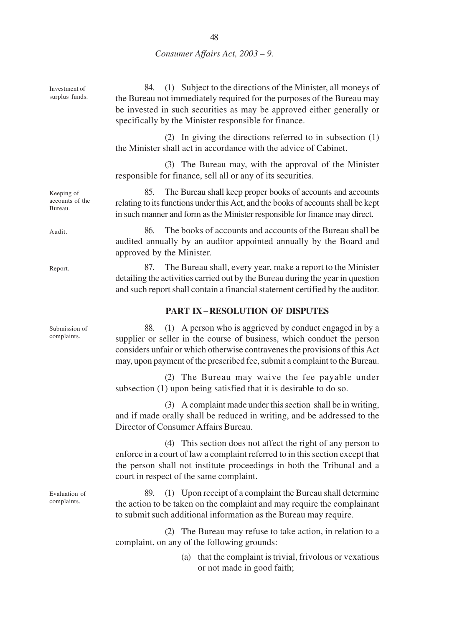| Investment of<br>surplus funds.          | (1) Subject to the directions of the Minister, all moneys of<br>84.<br>the Bureau not immediately required for the purposes of the Bureau may<br>be invested in such securities as may be approved either generally or<br>specifically by the Minister responsible for finance.                       |  |  |  |  |  |
|------------------------------------------|-------------------------------------------------------------------------------------------------------------------------------------------------------------------------------------------------------------------------------------------------------------------------------------------------------|--|--|--|--|--|
|                                          | (2) In giving the directions referred to in subsection $(1)$<br>the Minister shall act in accordance with the advice of Cabinet.                                                                                                                                                                      |  |  |  |  |  |
|                                          | (3) The Bureau may, with the approval of the Minister<br>responsible for finance, sell all or any of its securities.                                                                                                                                                                                  |  |  |  |  |  |
| Keeping of<br>accounts of the<br>Bureau. | 85.<br>The Bureau shall keep proper books of accounts and accounts<br>relating to its functions under this Act, and the books of accounts shall be kept<br>in such manner and form as the Minister responsible for finance may direct.                                                                |  |  |  |  |  |
| Audit.                                   | The books of accounts and accounts of the Bureau shall be<br>86.<br>audited annually by an auditor appointed annually by the Board and<br>approved by the Minister.                                                                                                                                   |  |  |  |  |  |
| Report.                                  | 87.<br>The Bureau shall, every year, make a report to the Minister<br>detailing the activities carried out by the Bureau during the year in question<br>and such report shall contain a financial statement certified by the auditor.                                                                 |  |  |  |  |  |
|                                          | <b>PART IX-RESOLUTION OF DISPUTES</b>                                                                                                                                                                                                                                                                 |  |  |  |  |  |
| Submission of<br>complaints.             | (1) A person who is aggrieved by conduct engaged in by a<br>88.<br>supplier or seller in the course of business, which conduct the person<br>considers unfair or which otherwise contravenes the provisions of this Act<br>may, upon payment of the prescribed fee, submit a complaint to the Bureau. |  |  |  |  |  |
|                                          | (2) The Bureau may waive the fee payable under<br>subsection (1) upon being satisfied that it is desirable to do so.                                                                                                                                                                                  |  |  |  |  |  |
|                                          | (3) A complaint made under this section shall be in writing,<br>and if made orally shall be reduced in writing, and be addressed to the<br>Director of Consumer Affairs Bureau.                                                                                                                       |  |  |  |  |  |
|                                          | (4) This section does not affect the right of any person to<br>enforce in a court of law a complaint referred to in this section except that<br>the person shall not institute proceedings in both the Tribunal and a<br>court in respect of the same complaint.                                      |  |  |  |  |  |
| Evaluation of<br>complaints.             | (1) Upon receipt of a complaint the Bureau shall determine<br>89.<br>the action to be taken on the complaint and may require the complainant<br>to submit such additional information as the Bureau may require.                                                                                      |  |  |  |  |  |
|                                          | (2) The Bureau may refuse to take action, in relation to a<br>complaint, on any of the following grounds:                                                                                                                                                                                             |  |  |  |  |  |

(a) that the complaint is trivial, frivolous or vexatious or not made in good faith;

48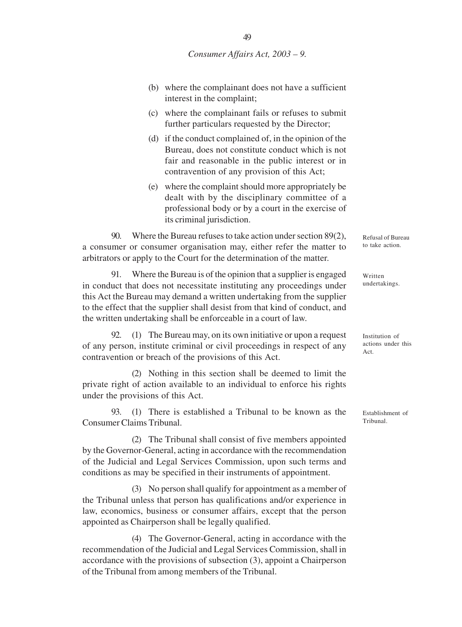- (b) where the complainant does not have a sufficient interest in the complaint;
- (c) where the complainant fails or refuses to submit further particulars requested by the Director;
- (d) if the conduct complained of, in the opinion of the Bureau, does not constitute conduct which is not fair and reasonable in the public interest or in contravention of any provision of this Act;
- (e) where the complaint should more appropriately be dealt with by the disciplinary committee of a professional body or by a court in the exercise of its criminal jurisdiction.

90. Where the Bureau refuses to take action under section 89(2), a consumer or consumer organisation may, either refer the matter to arbitrators or apply to the Court for the determination of the matter.

91. Where the Bureau is of the opinion that a supplier is engaged in conduct that does not necessitate instituting any proceedings under this Act the Bureau may demand a written undertaking from the supplier to the effect that the supplier shall desist from that kind of conduct, and the written undertaking shall be enforceable in a court of law.

92. (1) The Bureau may, on its own initiative or upon a request of any person, institute criminal or civil proceedings in respect of any contravention or breach of the provisions of this Act.

(2) Nothing in this section shall be deemed to limit the private right of action available to an individual to enforce his rights under the provisions of this Act.

93. (1) There is established a Tribunal to be known as the Consumer Claims Tribunal.

(2) The Tribunal shall consist of five members appointed by the Governor-General, acting in accordance with the recommendation of the Judicial and Legal Services Commission, upon such terms and conditions as may be specified in their instruments of appointment.

(3) No person shall qualify for appointment as a member of the Tribunal unless that person has qualifications and/or experience in law, economics, business or consumer affairs, except that the person appointed as Chairperson shall be legally qualified.

(4) The Governor-General, acting in accordance with the recommendation of the Judicial and Legal Services Commission, shall in accordance with the provisions of subsection (3), appoint a Chairperson of the Tribunal from among members of the Tribunal.

Refusal of Bureau to take action.

Written undertakings.

Institution of actions under this Act.

Establishment of Tribunal.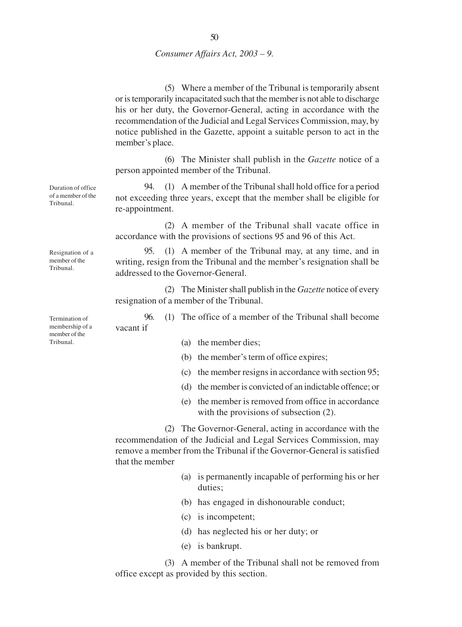(5) Where a member of the Tribunal is temporarily absent or is temporarily incapacitated such that the member is not able to discharge his or her duty, the Governor-General, acting in accordance with the recommendation of the Judicial and Legal Services Commission, may, by notice published in the Gazette, appoint a suitable person to act in the member's place.

(6) The Minister shall publish in the *Gazette* notice of a person appointed member of the Tribunal.

94. (1) A member of the Tribunal shall hold office for a period not exceeding three years, except that the member shall be eligible for re-appointment.

(2) A member of the Tribunal shall vacate office in accordance with the provisions of sections 95 and 96 of this Act.

95. (1) A member of the Tribunal may, at any time, and in writing, resign from the Tribunal and the member's resignation shall be addressed to the Governor-General.

(2) The Minister shall publish in the *Gazette* notice of every resignation of a member of the Tribunal.

96. (1) The office of a member of the Tribunal shall become vacant if

- (a) the member dies;
- (b) the member's term of office expires;
- (c) the member resigns in accordance with section 95;
- (d) the member is convicted of an indictable offence; or
- (e) the member is removed from office in accordance with the provisions of subsection (2).

(2) The Governor-General, acting in accordance with the recommendation of the Judicial and Legal Services Commission, may remove a member from the Tribunal if the Governor-General is satisfied that the member

- (a) is permanently incapable of performing his or her duties;
- (b) has engaged in dishonourable conduct;
- (c) is incompetent;
- (d) has neglected his or her duty; or
- (e) is bankrupt.

(3) A member of the Tribunal shall not be removed from office except as provided by this section.

Duration of office of a member of the Tribunal.

Resignation of a member of the Tribunal.

Termination of membership of a member of the Tribunal.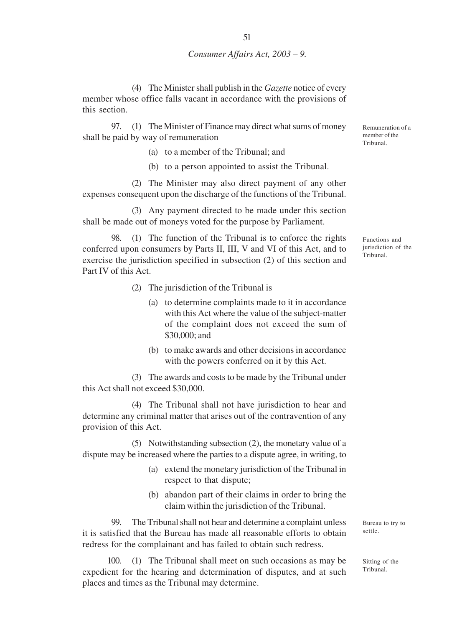(4) The Minister shall publish in the *Gazette* notice of every member whose office falls vacant in accordance with the provisions of this section.

97. (1) The Minister of Finance may direct what sums of money shall be paid by way of remuneration

- (a) to a member of the Tribunal; and
- (b) to a person appointed to assist the Tribunal.

(2) The Minister may also direct payment of any other expenses consequent upon the discharge of the functions of the Tribunal.

(3) Any payment directed to be made under this section shall be made out of moneys voted for the purpose by Parliament.

98. (1) The function of the Tribunal is to enforce the rights conferred upon consumers by Parts II, III, V and VI of this Act, and to exercise the jurisdiction specified in subsection (2) of this section and Part IV of this Act.

- (2) The jurisdiction of the Tribunal is
	- (a) to determine complaints made to it in accordance with this Act where the value of the subject-matter of the complaint does not exceed the sum of \$30,000; and
	- (b) to make awards and other decisions in accordance with the powers conferred on it by this Act.

(3) The awards and costs to be made by the Tribunal under this Act shall not exceed \$30,000.

(4) The Tribunal shall not have jurisdiction to hear and determine any criminal matter that arises out of the contravention of any provision of this Act.

(5) Notwithstanding subsection (2), the monetary value of a dispute may be increased where the parties to a dispute agree, in writing, to

- (a) extend the monetary jurisdiction of the Tribunal in respect to that dispute;
- (b) abandon part of their claims in order to bring the claim within the jurisdiction of the Tribunal.

99. The Tribunal shall not hear and determine a complaint unless it is satisfied that the Bureau has made all reasonable efforts to obtain redress for the complainant and has failed to obtain such redress.

100. (1) The Tribunal shall meet on such occasions as may be expedient for the hearing and determination of disputes, and at such places and times as the Tribunal may determine.

Remuneration of a member of the Tribunal.

Functions and jurisdiction of the Tribunal.

Bureau to try to settle.

Sitting of the Tribunal.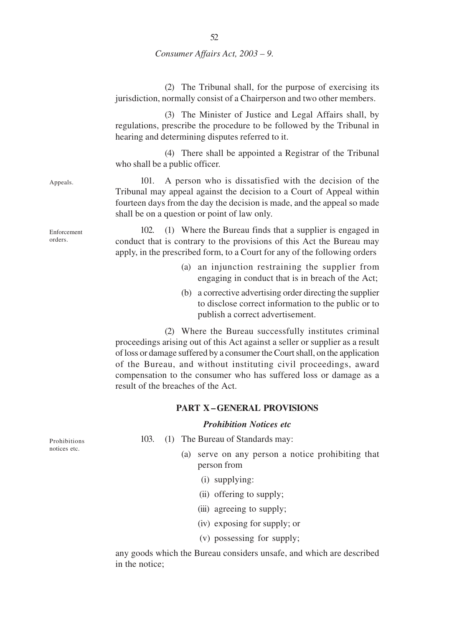(2) The Tribunal shall, for the purpose of exercising its jurisdiction, normally consist of a Chairperson and two other members.

(3) The Minister of Justice and Legal Affairs shall, by regulations, prescribe the procedure to be followed by the Tribunal in hearing and determining disputes referred to it.

(4) There shall be appointed a Registrar of the Tribunal who shall be a public officer.

101. A person who is dissatisfied with the decision of the Tribunal may appeal against the decision to a Court of Appeal within fourteen days from the day the decision is made, and the appeal so made shall be on a question or point of law only.

102. (1) Where the Bureau finds that a supplier is engaged in conduct that is contrary to the provisions of this Act the Bureau may apply, in the prescribed form, to a Court for any of the following orders

- (a) an injunction restraining the supplier from engaging in conduct that is in breach of the Act;
- (b) a corrective advertising order directing the supplier to disclose correct information to the public or to publish a correct advertisement.

(2) Where the Bureau successfully institutes criminal proceedings arising out of this Act against a seller or supplier as a result of loss or damage suffered by a consumer the Court shall, on the application of the Bureau, and without instituting civil proceedings, award compensation to the consumer who has suffered loss or damage as a result of the breaches of the Act.

# **PART X – GENERAL PROVISIONS**

# *Prohibition Notices etc*

- 103. (1) The Bureau of Standards may:
	- (a) serve on any person a notice prohibiting that person from
		- (i) supplying:
		- (ii) offering to supply;
		- (iii) agreeing to supply;
		- (iv) exposing for supply; or
		- (v) possessing for supply;

any goods which the Bureau considers unsafe, and which are described in the notice;

Prohibitions notices etc.

52

Appeals.

Enforcement orders.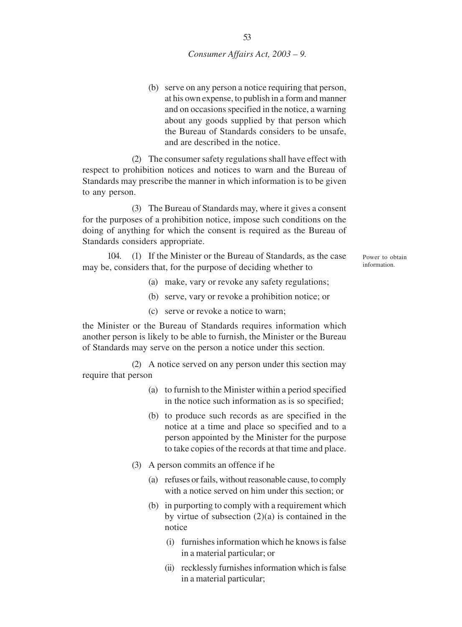(b) serve on any person a notice requiring that person, at his own expense, to publish in a form and manner and on occasions specified in the notice, a warning about any goods supplied by that person which the Bureau of Standards considers to be unsafe, and are described in the notice.

(2) The consumer safety regulations shall have effect with respect to prohibition notices and notices to warn and the Bureau of Standards may prescribe the manner in which information is to be given to any person.

(3) The Bureau of Standards may, where it gives a consent for the purposes of a prohibition notice, impose such conditions on the doing of anything for which the consent is required as the Bureau of Standards considers appropriate.

104. (1) If the Minister or the Bureau of Standards, as the case may be, considers that, for the purpose of deciding whether to

Power to obtain information.

- (a) make, vary or revoke any safety regulations;
- (b) serve, vary or revoke a prohibition notice; or
- (c) serve or revoke a notice to warn;

the Minister or the Bureau of Standards requires information which another person is likely to be able to furnish, the Minister or the Bureau of Standards may serve on the person a notice under this section.

(2) A notice served on any person under this section may require that person

- (a) to furnish to the Minister within a period specified in the notice such information as is so specified;
- (b) to produce such records as are specified in the notice at a time and place so specified and to a person appointed by the Minister for the purpose to take copies of the records at that time and place.
- (3) A person commits an offence if he
	- (a) refuses or fails, without reasonable cause, to comply with a notice served on him under this section; or
	- (b) in purporting to comply with a requirement which by virtue of subsection (2)(a) is contained in the notice
		- (i) furnishes information which he knows is false in a material particular; or
		- (ii) recklessly furnishes information which is false in a material particular;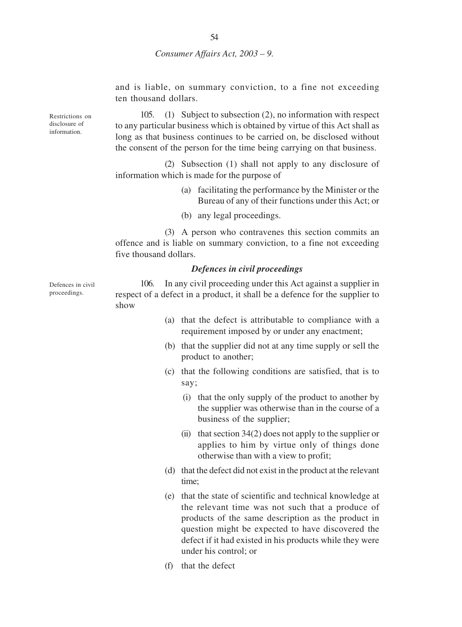and is liable, on summary conviction, to a fine not exceeding ten thousand dollars.

105. (1) Subject to subsection (2), no information with respect to any particular business which is obtained by virtue of this Act shall as long as that business continues to be carried on, be disclosed without the consent of the person for the time being carrying on that business.

(2) Subsection (1) shall not apply to any disclosure of information which is made for the purpose of

- (a) facilitating the performance by the Minister or the Bureau of any of their functions under this Act; or
- (b) any legal proceedings.

(3) A person who contravenes this section commits an offence and is liable on summary conviction, to a fine not exceeding five thousand dollars.

# *Defences in civil proceedings*

106. In any civil proceeding under this Act against a supplier in respect of a defect in a product, it shall be a defence for the supplier to show

- (a) that the defect is attributable to compliance with a requirement imposed by or under any enactment;
- (b) that the supplier did not at any time supply or sell the product to another;
- (c) that the following conditions are satisfied, that is to say;
	- (i) that the only supply of the product to another by the supplier was otherwise than in the course of a business of the supplier;
	- (ii) that section  $34(2)$  does not apply to the supplier or applies to him by virtue only of things done otherwise than with a view to profit;
- (d) that the defect did not exist in the product at the relevant time;
- (e) that the state of scientific and technical knowledge at the relevant time was not such that a produce of products of the same description as the product in question might be expected to have discovered the defect if it had existed in his products while they were under his control; or
- (f) that the defect

Restrictions on disclosure of information.

Defences in civil proceedings.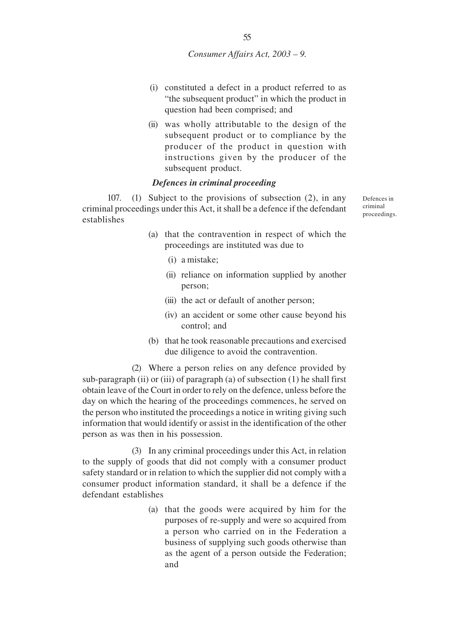- (i) constituted a defect in a product referred to as "the subsequent product" in which the product in question had been comprised; and
- (ii) was wholly attributable to the design of the subsequent product or to compliance by the producer of the product in question with instructions given by the producer of the subsequent product.

# *Defences in criminal proceeding*

107. (1) Subject to the provisions of subsection (2), in any criminal proceedings under this Act, it shall be a defence if the defendant establishes

Defences in criminal proceedings.

- (a) that the contravention in respect of which the proceedings are instituted was due to
	- (i) a mistake;
	- (ii) reliance on information supplied by another person;
	- (iii) the act or default of another person;
	- (iv) an accident or some other cause beyond his control; and
- (b) that he took reasonable precautions and exercised due diligence to avoid the contravention.

(2) Where a person relies on any defence provided by sub-paragraph (ii) or (iii) of paragraph (a) of subsection  $(1)$  he shall first obtain leave of the Court in order to rely on the defence, unless before the day on which the hearing of the proceedings commences, he served on the person who instituted the proceedings a notice in writing giving such information that would identify or assist in the identification of the other person as was then in his possession.

(3) In any criminal proceedings under this Act, in relation to the supply of goods that did not comply with a consumer product safety standard or in relation to which the supplier did not comply with a consumer product information standard, it shall be a defence if the defendant establishes

> (a) that the goods were acquired by him for the purposes of re-supply and were so acquired from a person who carried on in the Federation a business of supplying such goods otherwise than as the agent of a person outside the Federation; and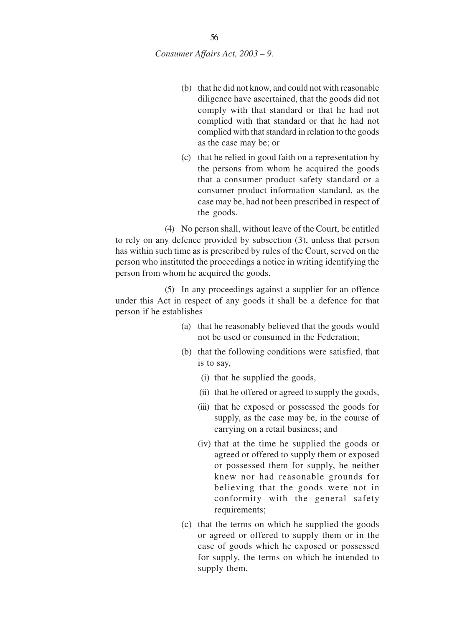- (b) that he did not know, and could not with reasonable diligence have ascertained, that the goods did not comply with that standard or that he had not complied with that standard or that he had not complied with that standard in relation to the goods as the case may be; or
- (c) that he relied in good faith on a representation by the persons from whom he acquired the goods that a consumer product safety standard or a consumer product information standard, as the case may be, had not been prescribed in respect of the goods.

(4) No person shall, without leave of the Court, be entitled to rely on any defence provided by subsection (3), unless that person has within such time as is prescribed by rules of the Court, served on the person who instituted the proceedings a notice in writing identifying the person from whom he acquired the goods.

(5) In any proceedings against a supplier for an offence under this Act in respect of any goods it shall be a defence for that person if he establishes

- (a) that he reasonably believed that the goods would not be used or consumed in the Federation;
- (b) that the following conditions were satisfied, that is to say,
	- (i) that he supplied the goods,
	- (ii) that he offered or agreed to supply the goods,
	- (iii) that he exposed or possessed the goods for supply, as the case may be, in the course of carrying on a retail business; and
	- (iv) that at the time he supplied the goods or agreed or offered to supply them or exposed or possessed them for supply, he neither knew nor had reasonable grounds for believing that the goods were not in conformity with the general safety requirements;
- (c) that the terms on which he supplied the goods or agreed or offered to supply them or in the case of goods which he exposed or possessed for supply, the terms on which he intended to supply them,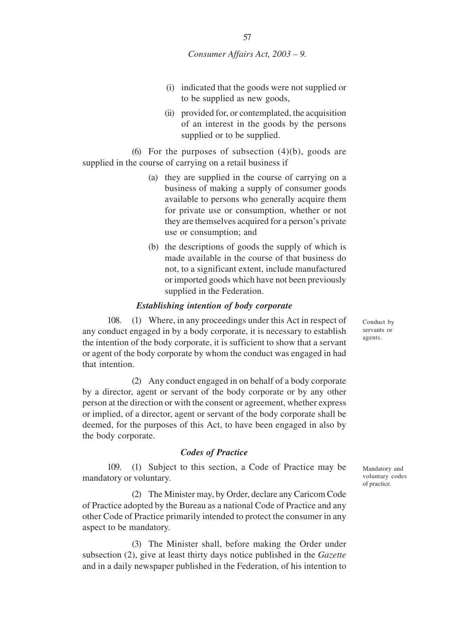- (i) indicated that the goods were not supplied or to be supplied as new goods,
- (ii) provided for, or contemplated, the acquisition of an interest in the goods by the persons supplied or to be supplied.

(6) For the purposes of subsection  $(4)(b)$ , goods are supplied in the course of carrying on a retail business if

- (a) they are supplied in the course of carrying on a business of making a supply of consumer goods available to persons who generally acquire them for private use or consumption, whether or not they are themselves acquired for a person's private use or consumption; and
- (b) the descriptions of goods the supply of which is made available in the course of that business do not, to a significant extent, include manufactured or imported goods which have not been previously supplied in the Federation.

# *Establishing intention of body corporate*

108. (1) Where, in any proceedings under this Act in respect of any conduct engaged in by a body corporate, it is necessary to establish the intention of the body corporate, it is sufficient to show that a servant or agent of the body corporate by whom the conduct was engaged in had that intention.

(2) Any conduct engaged in on behalf of a body corporate by a director, agent or servant of the body corporate or by any other person at the direction or with the consent or agreement, whether express or implied, of a director, agent or servant of the body corporate shall be deemed, for the purposes of this Act, to have been engaged in also by the body corporate.

# *Codes of Practice*

109. (1) Subject to this section, a Code of Practice may be mandatory or voluntary.

(2) The Minister may, by Order, declare any Caricom Code of Practice adopted by the Bureau as a national Code of Practice and any other Code of Practice primarily intended to protect the consumer in any aspect to be mandatory.

(3) The Minister shall, before making the Order under subsection (2), give at least thirty days notice published in the *Gazette* and in a daily newspaper published in the Federation, of his intention to Conduct by servants or agents.

Mandatory and voluntary codes of practice.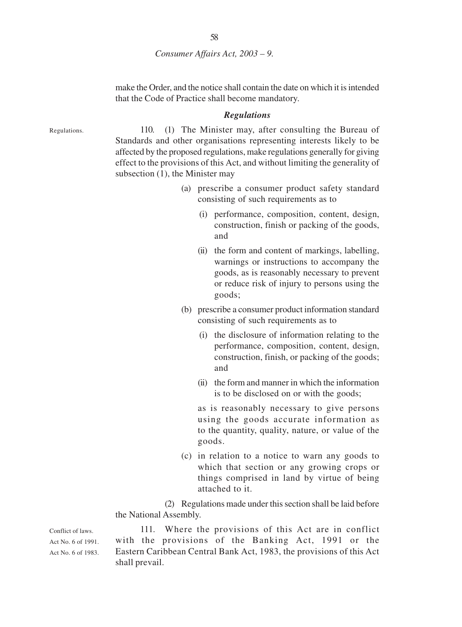make the Order, and the notice shall contain the date on which it is intended that the Code of Practice shall become mandatory.

## *Regulations*

110. (1) The Minister may, after consulting the Bureau of Standards and other organisations representing interests likely to be affected by the proposed regulations, make regulations generally for giving effect to the provisions of this Act, and without limiting the generality of subsection (1), the Minister may

- (a) prescribe a consumer product safety standard consisting of such requirements as to
	- (i) performance, composition, content, design, construction, finish or packing of the goods, and
	- (ii) the form and content of markings, labelling, warnings or instructions to accompany the goods, as is reasonably necessary to prevent or reduce risk of injury to persons using the goods;
- (b) prescribe a consumer product information standard consisting of such requirements as to
	- (i) the disclosure of information relating to the performance, composition, content, design, construction, finish, or packing of the goods; and
	- (ii) the form and manner in which the information is to be disclosed on or with the goods;

as is reasonably necessary to give persons using the goods accurate information as to the quantity, quality, nature, or value of the goods.

(c) in relation to a notice to warn any goods to which that section or any growing crops or things comprised in land by virtue of being attached to it.

(2) Regulations made under this section shall be laid before the National Assembly.

Conflict of laws. Act No. 6 of 1991. Act No. 6 of 1983.

111. Where the provisions of this Act are in conflict with the provisions of the Banking Act, 1991 or the Eastern Caribbean Central Bank Act, 1983, the provisions of this Act shall prevail.

Regulations.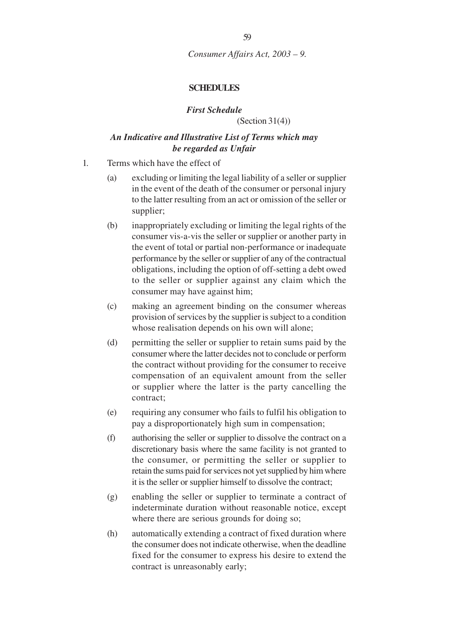# **SCHEDULES**

# *First Schedule*

(Section 31(4))

# *An Indicative and Illustrative List of Terms which may be regarded as Unfair*

- 1. Terms which have the effect of
	- (a) excluding or limiting the legal liability of a seller or supplier in the event of the death of the consumer or personal injury to the latter resulting from an act or omission of the seller or supplier;
	- (b) inappropriately excluding or limiting the legal rights of the consumer vis-a-vis the seller or supplier or another party in the event of total or partial non-performance or inadequate performance by the seller or supplier of any of the contractual obligations, including the option of off-setting a debt owed to the seller or supplier against any claim which the consumer may have against him;
	- (c) making an agreement binding on the consumer whereas provision of services by the supplier is subject to a condition whose realisation depends on his own will alone;
	- (d) permitting the seller or supplier to retain sums paid by the consumer where the latter decides not to conclude or perform the contract without providing for the consumer to receive compensation of an equivalent amount from the seller or supplier where the latter is the party cancelling the contract;
	- (e) requiring any consumer who fails to fulfil his obligation to pay a disproportionately high sum in compensation;
	- (f) authorising the seller or supplier to dissolve the contract on a discretionary basis where the same facility is not granted to the consumer, or permitting the seller or supplier to retain the sums paid for services not yet supplied by him where it is the seller or supplier himself to dissolve the contract;
	- (g) enabling the seller or supplier to terminate a contract of indeterminate duration without reasonable notice, except where there are serious grounds for doing so;
	- (h) automatically extending a contract of fixed duration where the consumer does not indicate otherwise, when the deadline fixed for the consumer to express his desire to extend the contract is unreasonably early;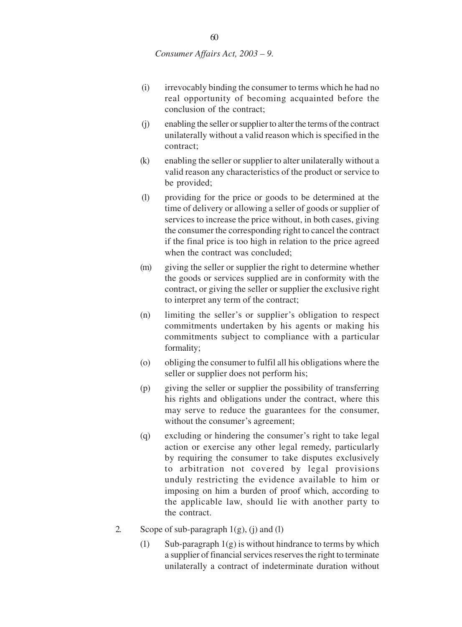- (i) irrevocably binding the consumer to terms which he had no real opportunity of becoming acquainted before the conclusion of the contract;
- (j) enabling the seller or supplier to alter the terms of the contract unilaterally without a valid reason which is specified in the contract;
- (k) enabling the seller or supplier to alter unilaterally without a valid reason any characteristics of the product or service to be provided;
- (l) providing for the price or goods to be determined at the time of delivery or allowing a seller of goods or supplier of services to increase the price without, in both cases, giving the consumer the corresponding right to cancel the contract if the final price is too high in relation to the price agreed when the contract was concluded;
- (m) giving the seller or supplier the right to determine whether the goods or services supplied are in conformity with the contract, or giving the seller or supplier the exclusive right to interpret any term of the contract;
- (n) limiting the seller's or supplier's obligation to respect commitments undertaken by his agents or making his commitments subject to compliance with a particular formality;
- (o) obliging the consumer to fulfil all his obligations where the seller or supplier does not perform his;
- (p) giving the seller or supplier the possibility of transferring his rights and obligations under the contract, where this may serve to reduce the guarantees for the consumer, without the consumer's agreement;
- (q) excluding or hindering the consumer's right to take legal action or exercise any other legal remedy, particularly by requiring the consumer to take disputes exclusively to arbitration not covered by legal provisions unduly restricting the evidence available to him or imposing on him a burden of proof which, according to the applicable law, should lie with another party to the contract.
- 2. Scope of sub-paragraph  $1(g)$ , (j) and (l)
	- (1) Sub-paragraph  $1(g)$  is without hindrance to terms by which a supplier of financial services reserves the right to terminate unilaterally a contract of indeterminate duration without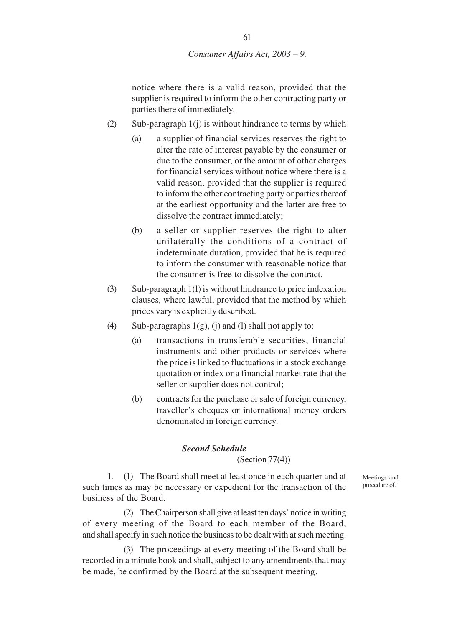notice where there is a valid reason, provided that the supplier is required to inform the other contracting party or parties there of immediately.

- (2) Sub-paragraph  $1(i)$  is without hindrance to terms by which
	- (a) a supplier of financial services reserves the right to alter the rate of interest payable by the consumer or due to the consumer, or the amount of other charges for financial services without notice where there is a valid reason, provided that the supplier is required to inform the other contracting party or parties thereof at the earliest opportunity and the latter are free to dissolve the contract immediately;
	- (b) a seller or supplier reserves the right to alter unilaterally the conditions of a contract of indeterminate duration, provided that he is required to inform the consumer with reasonable notice that the consumer is free to dissolve the contract.
- (3) Sub-paragraph 1(l) is without hindrance to price indexation clauses, where lawful, provided that the method by which prices vary is explicitly described.
- (4) Sub-paragraphs  $1(g)$ , (j) and (l) shall not apply to:
	- (a) transactions in transferable securities, financial instruments and other products or services where the price is linked to fluctuations in a stock exchange quotation or index or a financial market rate that the seller or supplier does not control;
	- (b) contracts for the purchase or sale of foreign currency, traveller's cheques or international money orders denominated in foreign currency.

# *Second Schedule*

# $(Section 77(4))$

1. (1) The Board shall meet at least once in each quarter and at such times as may be necessary or expedient for the transaction of the business of the Board.

(2) The Chairperson shall give at least ten days' notice in writing of every meeting of the Board to each member of the Board, and shall specify in such notice the business to be dealt with at such meeting.

(3) The proceedings at every meeting of the Board shall be recorded in a minute book and shall, subject to any amendments that may be made, be confirmed by the Board at the subsequent meeting.

Meetings and procedure of.